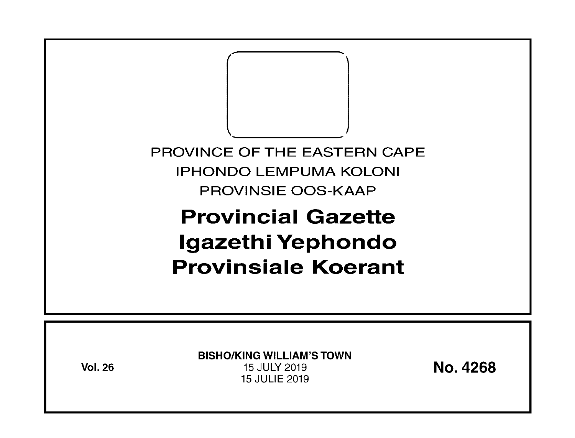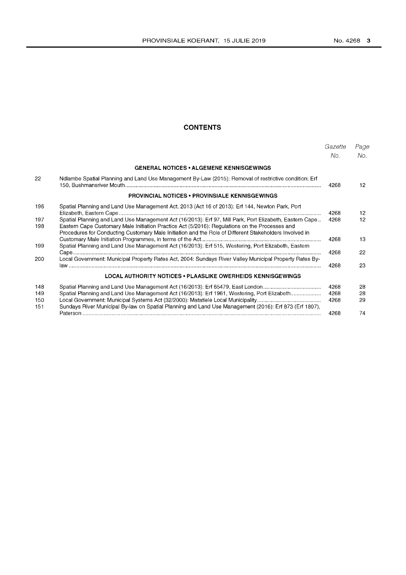#### **CONTENTS**

|            |                                                                                                                                                                                                                                                                                                                     | Gazette<br>No. | Page<br>No. |
|------------|---------------------------------------------------------------------------------------------------------------------------------------------------------------------------------------------------------------------------------------------------------------------------------------------------------------------|----------------|-------------|
|            | <b>GENERAL NOTICES • ALGEMENE KENNISGEWINGS</b>                                                                                                                                                                                                                                                                     |                |             |
| 22         | Ndlambe Spatial Planning and Land Use Management By-Law (2015): Removal of restrictive condition: Erf                                                                                                                                                                                                               | 4268           | 12          |
|            | <b>PROVINCIAL NOTICES • PROVINSIALE KENNISGEWINGS</b>                                                                                                                                                                                                                                                               |                |             |
| 196        | Spatial Planning and Land Use Management Act, 2013 (Act 16 of 2013): Erf 144, Newton Park, Port                                                                                                                                                                                                                     | 4268           | 12          |
| 197<br>198 | Spatial Planning and Land Use Management Act (16/2013): Erf 97, Mill Park, Port Elizabeth, Eastern Cape<br>Eastern Cape Customary Male Initiation Practice Act (5/2016): Regulations on the Processes and<br>Procedures for Conducting Customary Male Initiation and the Role of Different Stakeholders Involved in | 4268           | 12          |
| 199        | Spatial Planning and Land Use Management Act (16/2013): Erf 515, Westering, Port Elizabeth, Eastern                                                                                                                                                                                                                 | 4268           | 13          |
| 200        | Local Government: Municipal Property Rates Act, 2004: Sundays River Valley Municipal Property Rates By-                                                                                                                                                                                                             | 4268<br>4268   | 22<br>23    |
|            | LOCAL AUTHORITY NOTICES . PLAASLIKE OWERHEIDS KENNISGEWINGS                                                                                                                                                                                                                                                         |                |             |
| 148        |                                                                                                                                                                                                                                                                                                                     | 4268           | 28          |
| 149        | Spatial Planning and Land Use Management Act (16/2013): Erf 1961, Westering, Port Elizabeth                                                                                                                                                                                                                         | 4268           | 28          |
| 150<br>151 | Sundays River Municipal By-law on Spatial Planning and Land Use Management (2016): Erf 873 (Erf 1807),                                                                                                                                                                                                              | 4268           | 29          |
|            |                                                                                                                                                                                                                                                                                                                     | 4268           | 74          |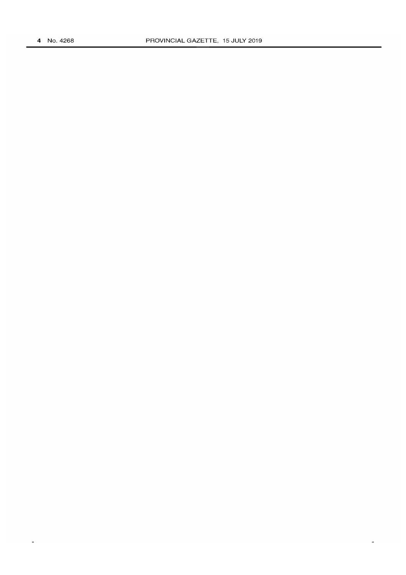$\overline{\phantom{a}}$ 

 $\overline{\phantom{a}}$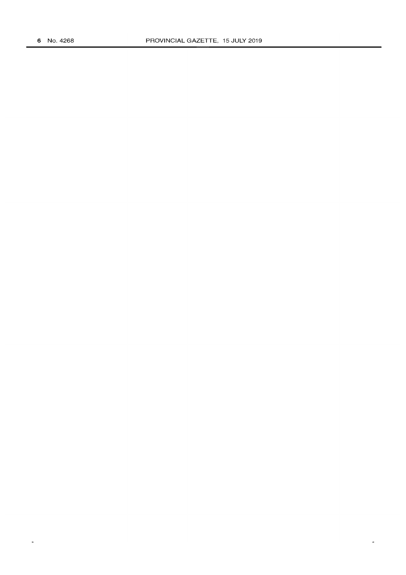$\bar{\mathcal{A}}$ 

 $\tilde{\phantom{a}}$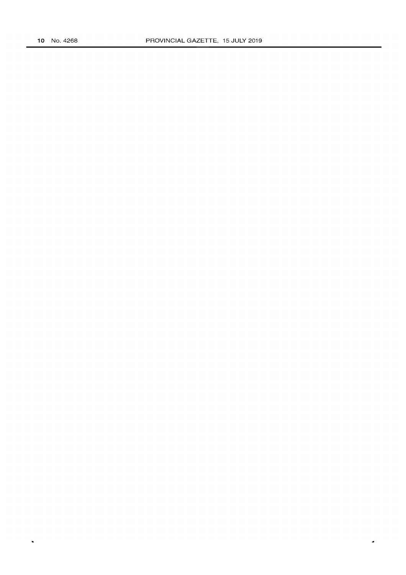$\hat{\mathbf{z}}$ 

 $\pmb{s}$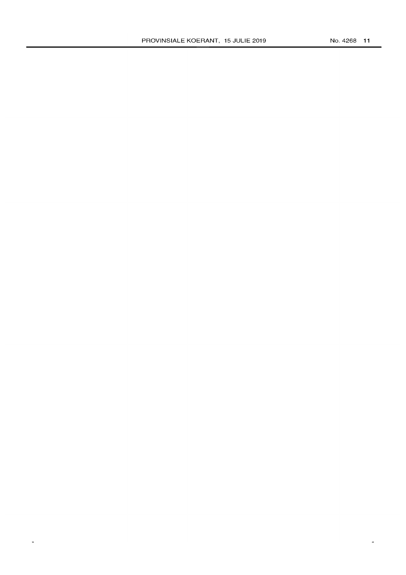$\Box$ 

 $\overline{\phantom{a}}$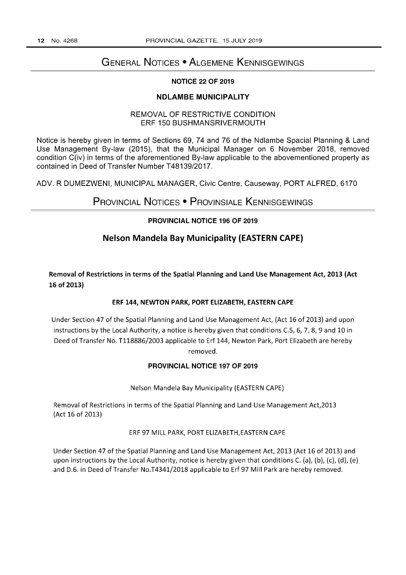# GENERAL NOTICES • ALGEMENE KENNISGEWINGS

#### NOTICE 22 OF 2019

#### NDLAMBE MUNICIPALITY

#### REMOVAL OF RESTRICTIVE CONDITION ERF 150 BUSHMANSRIVERMOUTH

Notice is hereby given in terms of Sections 69, 74 and 76 of the Ndlambe Spacial Planning & Land Use Management By-law (2015), that the Municipal Manager on 6 November 2018, removed condition C(iv) in terms of the aforementioned By-law applicable to the abovementioned property as contained in Deed of Transfer Number T48139/2017.

ADV. R DUMEZWENI, MUNICIPAL MANAGER, Civic Centre, Causeway, PORT ALFRED, 6170

## PROVINCIAL NOTICES • PROVINSIALE KENNISGEWINGS

#### PROVINCIAL NOTICE 196 OF 2019

### Nelson Mandela Bay Municipality (EASTERN CAPE)

Removal of Restrictions in terms of the Spatial Planning and Land Use Management Act, 2013 (Act 16 of 2013)

#### ERF 144, NEWTON PARK, PORT ELIZABETH, EASTERN CAPE

Under Section 47 of the Spatial Planning and Land Use Management Act, (Act 16 of 2013) and upon instructions by the Local Authority, a notice is hereby given that conditions C.S, 6, 7, 8, 9 and 10 in Deed of Transfer No. T118886/2003 applicable to Erf 144, Newton Park, Port Elizabeth are hereby removed.

#### PROVINCIAL NOTICE 197 OF 2019

Nelson Mandela Bay Municipality (EASTERN CAPE)

Removal of Restrictions in terms of the Spatial Planning and Land Use Management Act,2013 (Act 16 of 2013)

ERF 97 MILL PARK, PORT ELiZABETH,EASTERN CAPE

Under Section 47 of the Spatial Planning and Land Use Management Act, 2013 (Act 16 of 2013) and upon instructions by the Local Authority, notice is hereby given that conditions C. (a), (b), (c), (d), (e) and D.6. in Deed of Transfer No.T4341/2018 applicable to Erf 97 Mill Park are hereby removed.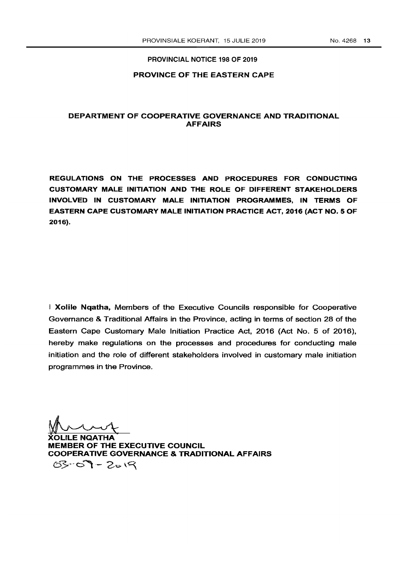#### PROVINCIAL NOTICE 198 OF 2019

#### PROVINCE OF THE EASTERN CAPE

### DEPARTMENT OF COOPERATIVE GOVERNANCE AND TRADITIONAL **AFFAIRS**

REGULATIONS ON THE PROCESSES AND PROCEDURES FOR CONDUCTING CUSTOMARY MALE INITIATION AND THE ROLE OF DIFFERENT STAKEHOLDERS INVOLVED IN CUSTOMARY MALE INITIATION PROGRAMMES, IN TERMS OF EASTERN CAPE CUSTOMARY MALE INITIATION PRACTICE ACT, 2016 (ACT NO.5 OF 2016).

I Xolile Ngatha, Members of the Executive Councils responsible for Cooperative Governance & Traditional Affairs in the Province, acting in terms of section 28 of the Eastern Cape Customary Male Initiation Practice Act, 2016 (Act No. 5 of 2016), hereby make regulations on the processes and procedures for conducting male initiation and the role of different stakeholders involved in customary male initiation programmes in the Province.

XOLILE NQATHA<br>\* MEMBER OF THE EXECUTIVE COUNCIL COOPERATIVE GOVERNANCE & TRADITIONAL AFFAIRS

 $03 - 07 - 2019$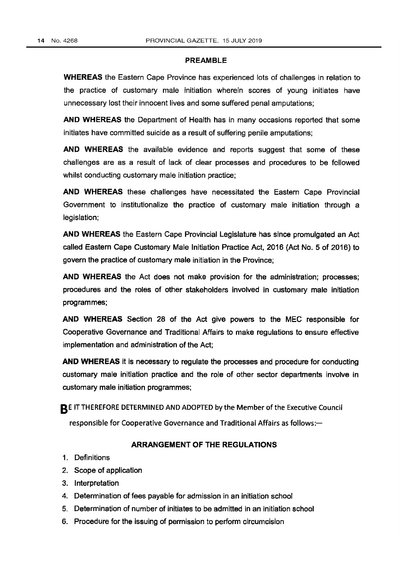#### **PREAMBLE**

**WHEREAS** the Eastern Cape Province has experienced lots of challenges in relation to the practice of customary male initiation wherein scores of young initiates have unnecessary lost their innocent lives and some suffered penal amputations;

**AND WHEREAS** the Department of Health has in many occasions reported that some initiates have committed suicide as a result of suffering penile amputations;

**AND WHEREAS** the available evidence and reports suggest that some of these challenges are as a result of lack of clear processes and procedures to be fellowed whilst conducting customary male initiation practice;

**AND WHEREAS** these challenges have necessitated the Eastern Cape Provincial Government to institutionalize the practice of customary male initiation through a legislation;

**AND WHEREAS** the Eastern Cape Provincial Legislature has since promulgated an Act called Eastern Cape Customary Male Initiation Practice Act, 2016 (Act No.5 of 2016) to govern the practice of customary male initiation in the Province;

**AND WHEREAS** the Act does not make provision for the administration; processes; procedures and the roles of other stakeholders involved in customary male initiation programmes;

**AND WHEREAS** Section 28 of the Act give powers to the MEC responsible for Cooperative Governance and Traditional Affairs to make regulations to ensure effective implementation and administration of the Act;

**AND WHEREAS** it is necessary to regulate the processes and procedure for conducting customary male initiation practice and the role of other sector departments involve in customary male initiation programmes;

**BE IT THEREFORE DETERMINED AND ADOPTED by the Member of the Executive Council** responsible for Cooperative Governance and Traditional Affairs as follows:-

#### **ARRANGEMENT OF THE REGULATIONS**

- 1. Definitions
- 2. Scope of application
- 3. Interpretation
- 4. Determination of fees payable for admission in an initiation school
- 5. Determination of number of initiates to be admitted in an initiation school
- 6. Procedure for the issuing of permission to perform circumcision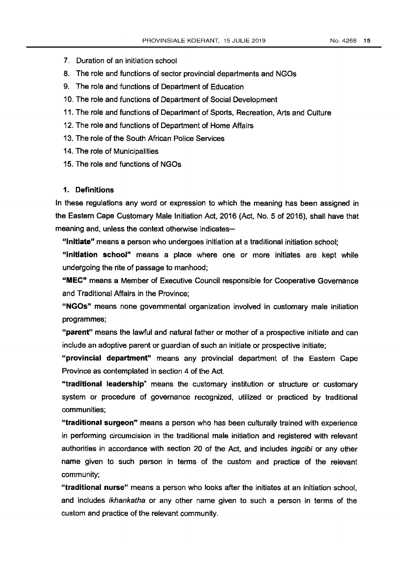- 7. Duration of an initiation school
- 8. The role and functions of sector provincial departments and NGOs
- 9. The role and functions of Department of Education
- 10. The role and functions of Department of Social Development
- 11. The role and functions of Department of Sports. Recreation, Arts and Culture
- 12. The role and functions of Department of Home Affairs
- 13. The role of the South African Police Services
- 14. The role of Municipalities
- 15. The role and functions of NGOs

#### 1. Definitions

In these regulations any word or expression to which the meaning has been assigned in the Eastern Cape Customary Male Initiation Act, 2016 (Act, No.5 of 2016). shall have that meaning and, unless the context otherwise indicates-

"initiate" means a person who undergoes initiation at a traditional initiation school;

"initiation school" means a place where one or more initiates are kept while undergoing the rite of passage to manhood;

"MEC" means a Member of Executive Council responsible for Cooperative Governance and Traditional Affairs in the Province;

"NGOs" means none governmental organization involved in customary male initiation programmes;

"parent" means the lawful and natural father or mother of a prospective initiate and can include an adoptive parent or guardian of such an initiate or prospective initiate;

"provincial department" means any provincial department of the Eastern Cape Province as contemplated in section 4 of the Act.

"traditional leadership" means the customary institution or structure or customary system or procedure of governance recognized, utilized or practiced by traditional communities;

"traditional surgeon" means a person who has been culturally trained with experience in performing circumcision in the traditional male initiation and registered with relevant authorities in accordance with section 20 of the Act, and includes ingcibi or any other name given to such person in terms of the custom and practice of the relevant community;

"traditional nurse" means a person who looks after the initiates at an initiation school. and includes ikhankatha or any other name given to such a person in terms of the custom and practice of the relevant community.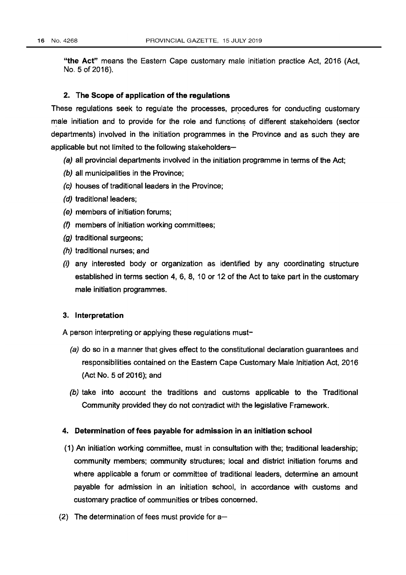"the Act" means the Eastern Cape customary male initiation practice Act, 2016 (Act, No.5 of 2016).

#### 2. The Scope of application of the regulations

These regulations seek to regulate the processes, procedures for conducting customary male initiation and to provide for the role and functions of different stakeholders (sector departments) involved in the initiation programmes in the Province and as such they are applicable but not limited to the following stakeholders-

- (a) all provincial departments involved in the initiation programme in terms of the Act;
- (b) all municipalities in the Province;
- (c) houses of traditional leaders in the Province;
- *(d)* traditional leaders;
- (e) members of initiation forums;
- (f) members of initiation working committees;
- (g) traditional surgeons;
- (h) traditional nurses; and
- (i) any interested body or organization as identified by any coordinating structure established in terms section 4, 6, 8, 10 or 12 of the Act to take part in the customary male initiation programmes.

#### 3. Interpretation

A person interpreting or applying these regulations must-

- (a) do so in a manner that gives effect to the constitutional declaration guarantees and responsibilities contained on the Eastern Cape Customary Male Initiation Act, 2016 (Act No.5 of 2016); and
- (b) take into account the traditions and customs applicable to the Traditional Community provided they do not contradict with the legislative Framework.

#### 4. Determination of fees payable for admission in an initiation school

- (1) An initiation working committee, must in consultation with the; traditional leadership; community members; community structures; local and district initiation forums and where applicable a forum or committee of traditional leaders, determine an amount payable for admission in an initiation school, in accordance with customs and customary practice of communities or tribes concerned.
- (2) The determination of fees must provide for  $a-$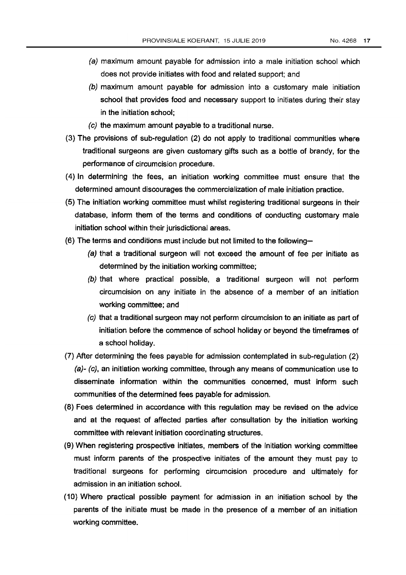- (a) maximum amount payable for admission into a male initiation school which does not provide initiates with food and related support; and
- (b) maximum amount payable for admission into a customary male initiation school that provides food and necessary support to initiates during their stay in the initiation school;
- (e) the maximum amount payable to a traditional nurse.
- (3) The provisions of sub-regulation (2) do not apply to traditional communities where traditional surgeons are given customary gifts such as a bottle of brandy, for the performance of circumcision procedure.
- (4) In determining the fees, an initiation working committee must ensure that the determined amount discourages the commercialization of male initiation practice.
- (5) The initiation working committee must whilst registering traditional surgeons in their database, inform them of the terms and conditions of conducting customary male initiation school within their jurisdictional areas.
- (6) The terms and conditions must include but not limited to the following-
	- (a) that a traditional surgeon will not exceed the amount of fee per initiate as determined by the initiation working committee;
	- (b) that where practical possible. a traditional surgeon will not perform circumcision on any initiate in the absence of a member of an initiation working committee; and
	- (e) that a traditional surgeon may not perform circumcision to an initiate as part of initiation before the commence of school holiday or beyond the timeframes of a school holiday.
- (7) After determining the fees payable for admission contemplated in SUb-regulation (2) (a)- (e), an initiation working committee, through any means of communication use to disseminate information within the communities concerned, must inform such communities of the determined fees payable for admission.
- (8) Fees determined in accordance with this regulation may be revised on the advice and at the request of affected parties after consultation by the initiation working committee with relevant initiation coordinating structures.
- (9) When registering prospective initiates, members of the initiation working committee must inform parents of the prospective initiates of the amount they must pay to traditional surgeons for performing circumcision procedure and ultimately for admission in an initiation school.
- (10) Where practical possible payment for admission in an initiation school by the parents of the initiate must be made in the presence of a member of an initiation working committee.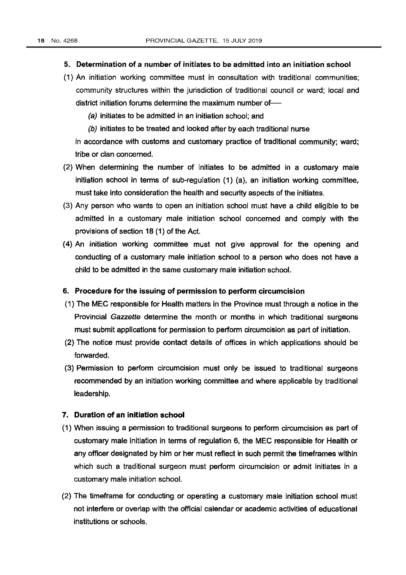#### 5. Determination of a number of initiates to be admitted into an initiation school

- (1) An initiation working committee must in consultation with traditfonal communities; community structures within the jurisdiction of traditional council or ward; local and district initiation forums determine the maximum number of-
	- (a) initiates to be admitted in an initiation school; and
	- (b) initiates to be treated and looked after by each traditional nurse

in accordance with customs and customary practice of traditional community; ward; tribe or clan concerned.

- (2) When determining the number of initiates to be admitted in a customary male initiation school in terms of sub-regulation (1) (a), an initiation working committee, must take into consideration the health and security aspects of the initiates.
- (3) Any person who wants to open an initiation school must have a child eligible to be admitted in a customary male initiation school concerned and comply with the provisions of section 18 (1) of the Act.
- (4) An initiation working committee must not give approval for the opening and conducting of a customary male initiation school to a person who does not have a child to be admitted in the same customary male initiation school.

#### 6. Procedure for the issuing of permission to perform circumcision

- (1) The MEC responsible for Health matters in the Province must through a notice in the Provincial Gazzette determine the month or months in which traditional surgeons must submit applications for permission to perform circumcision as part of initiation.
- (2) The notice must provide contact details of offices in which applications should be forwarded.
- (3) Permission to perform circumcision must only be issued to traditional surgeons recommended by an initiation working committee and where applicable by traditional leadership.

### 7. Duration of an initiation school

- (1) When issuing a permiSSion to traditional surgeons to perform circumcision as part of customary male initiation in terms of regulation 6, the MEC responsible for Health or any officer designated by him or her must reflect in such permit the timeframes within which such a traditional surgeon must perform circumcision or admit initiates in a customary male initiation school.
- (2) The timeframe for conducting or operating a customary male initiation school must not interfere or overlap with the official calendar or academic activities of educational institutions or schools.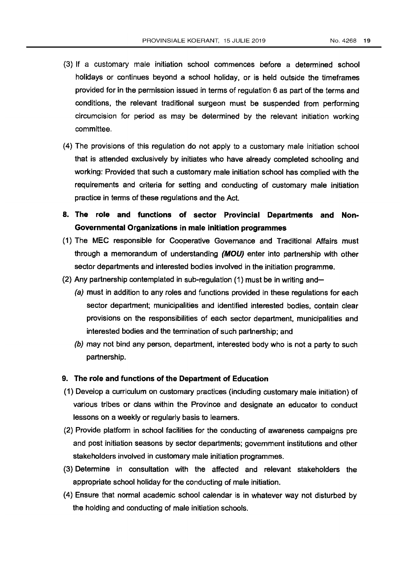- (3) If a customary male initiation school commences before a determined school holidays or continues beyond a school holiday, or is held outside the timeframes provided for in the permission issued in terms of regulation 6 as part of the terms and conditions, the relevant traditional surgeon must be suspended from performing circumcision for period as may be determined by the relevant initiation working committee.
- (4) The provisions of this regulation do not apply to a customary male initiation school that is attended exclusively by initiates who have already completed schooling and working: Provided that such a customary male initiation school has complied with the requirements and criteria for setting and conducting of customary male initiation practice in terms of these regulations and the Act.
- 8. The role and functions of sector Provincial Departments and Non-Governmental Organizations in male initiation programmes
- (1) The MEC responsible for Cooperative Governance and Traditional Affairs must through a memorandum of understanding (MOU) enter into partnership with other sector departments and interested bodies involved in the initiation programme.
- (2) Any partnership contemplated in sub-regulation (1) must be in writing and-
	- (a) must in addition to any roles and functions provided in these regulations for each sector department; municipalities and identified interested bodies, contain clear provisions on the responsibilities of each sector department, municipalities and interested bodies and the termination of such partnership; and
	- (b) may not bind any person, department, interested body who is not a party to such partnership.

#### 9. The role and functions of the Department of Education

- (1) Develop a curriculum on customary practices (including customary male initiation) of various tribes or clans within the Province and designate an educator to conduct lessons on a weekly or regularly basis to learners.
- (2) Provide platform in school facilities for the conducting of awareness campaigns pre and post initiation seasons by sector departments; government institutions and other stakeholders involved in customary male initiation programmes.
- (3) Determine in consultation with the affected and relevant stakeholders the appropriate school holiday for the conducting of male initiation.
- (4) Ensure that normal academic school calendar is in whatever way not disturbed by the holding and conducting of male initiation schools.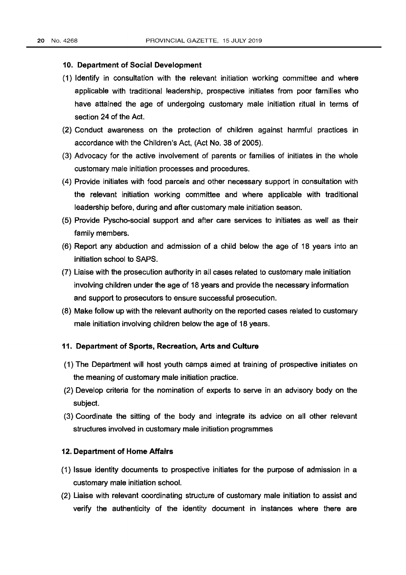#### 10. Department of Social Development

- (1) Identify in consultation with the relevant initiation working committee and where applicable with traditional leadership, prospective initiates from poor families who have attained the age of undergoing customary male initiation ritual in terms of section 24 of the Act.
- (2) Conduct awareness on the protection of children against harmful practices in accordance with the Children's Act, (Act No. 38 of 2005).
- (3) Advocacy for the active involvement of parents or families of initiates in the whole customary male initiation processes and procedures.
- (4) Provide initiates with food parcels and other necessary support in consultation with the relevant initiation working committee and where applicable with traditional leadership before, during and after customary male initiation season.
- (5) Provide Pyscho-social support and after care services to initiates as well as their family members.
- (6) Report any abduction and admission of a child below the age of 18 years into an initiation school to SAPS.
- (7) Liaise with the prosecution authority in all cases related to customary male initiation involving children under the age of 18 years and provide the necessary information and support to prosecutors to ensure successful prosecution.
- (8) Make follow up with the relevant authority on the reported cases related to customary male initiation involving children below the age of 18 years.

### 11. Department of Sports, Recreation, Arts and Culture

- (1) The Department will host youth camps aimed at training of prospective initiates on the meaning of customary male initiation practice.
- (2) Develop criteria for the nomination of experts to serve in an advisory body on the subject.
- (3) Coordinate the sitting of the body and integrate its advice on all other relevant structures involved in customary male initiation programmes

#### 12. Department of Home Affairs

- (1) Issue identity documents to prospective initiates for the purpose of admission in a customary male initiation school.
- (2) Liaise with relevant coordinating structure of customary male initiation to assist and verify the authenticity of the identity document in instances where there are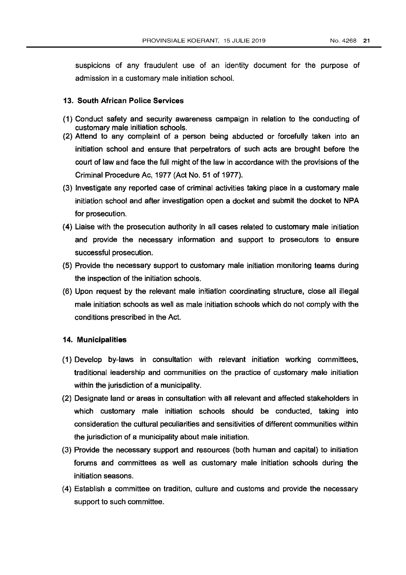suspicions of any fraudulent use of an identity document for the purpose of admission in a customary male initiation school.

#### 13. South African Police Services

- (1) Conduct safety and security awareness campaign in relation to the conducting of customary male initiation schools.
- (2) Attend to any complaint of a person being abducted or forcefully taken into an initiation school and ensure that perpetrators of such acts are brought before the court of law and face the full might of the law in accordance with the provisions of the Criminal Procedure Ac, 1977 (Act No. 51 of 1977).
- (3) Investigate any reported case of criminal activities taking place in a customary male initiation school and after investigation open a docket and submit the docket to NPA for prosecution.
- (4) Liaise with the prosecution authority in all cases related to customary male initiation and provide the necessary information and support to prosecutors to ensure successful prosecution.
- (5) Provide the necessary support to customary male initiation monitoring teams during the inspection of the initiation schools.
- (6) Upon request by the relevant male initiation coordinating structure, close all illegal male initiation schools as well as male initiation schools which do not comply with the conditions prescribed in the Act.

#### 14. Municipalities

- (1) Develop by-laws in consultation with relevant initiation working committees, traditional leadership and communities on the practice of customary male initiation within the jurisdiction of a municipality.
- (2) Designate land or areas in consultation with all relevant and affected stakeholders in which customary male initiation schools should be conducted, taking into consideration the cultural peculiarities and sensitivities of different communities within the jurisdiction of a municipality about male initiation.
- (3) Provide the necessary support and resources (both human and capital) to initiation forums and committees as well as customary male initiation schools during the initiation seasons.
- (4) Establish a committee on tradition, culture and customs and provide the necessary support to such committee.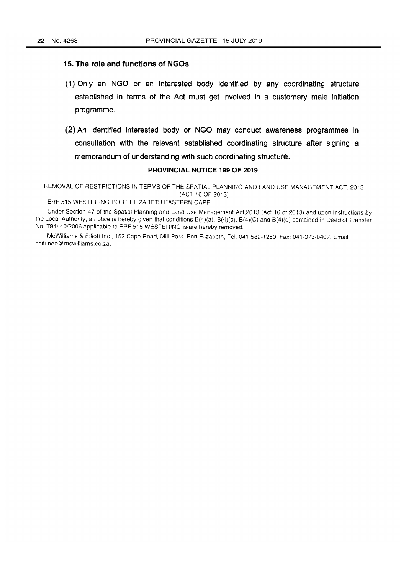#### **15. The role and functions of NGOs**

- **(1) Only an NGO or an interested body identified by any coordinating structure established in terms of the Act must get involved in a customary male initiation programme.**
- **(2) An identified interested body or NGO may conduct awareness programmes in consultation with the relevant established coordinating structure after signing a memorandum of understanding with such coordinating structure.**

### **PROVINCIAL NOTICE 199 OF 2019**

REMOVAL OF RESTRICTIONS IN TERMS OF THE SPATIAL PLANNING AND LAND USE MANAGEMENT ACT, 2013 (ACT 16 OF 2013)

ERF 515 WESTERING.PORT ELIZABETH EASTERN CAPE

Under Section 47 of the Spatial Planning and Land Use Management Act,2013 (Act 16 of 2013) and upon instructions by the Local Authority. a notice is hereby given that conditions B(4)(a), B(4)(b), B(4)(C) and B(4)(d) contained in Deed of Transfer No. *T94440/2006* applicable to ERF 515 WESTERING is/are hereby removed.

McWilliams & Elliott Inc., 152 Cape Road, Mill Park, Port Elizabeth, Tel: 041-582-1250, Fax: 041-373-0407, Email: chifundo@ mcwilliams.co.za.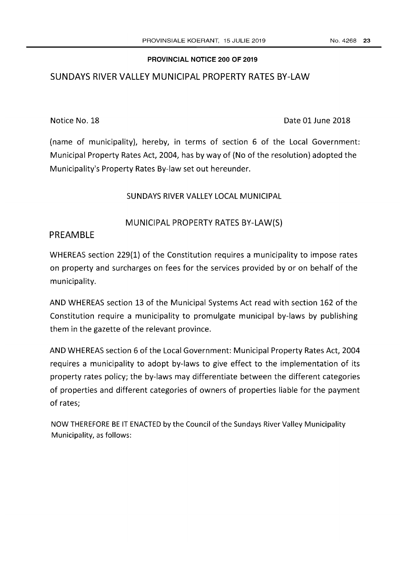### PROVINCIAL NOTICE 200 OF 2019

### SUNDAYS RIVER VALLEY MUNICIPAL PROPERTY RATES BY-LAW

Notice No. 18 Date 01 June 2018

(name of municipality), hereby, in terms of section 6 of the Local Government: Municipal Property Rates Act, 2004, has by way of (No of the resolution) adopted the Municipality's Property Rates By-law set out hereunder.

SUNDAYS RIVER VALLEY LOCAL MUNICIPAL

### MUNICIPAL PROPERTY RATES BY-LAW(S}

### PREAMBLE

WHEREAS section 229(1) of the Constitution requires a municipality to impose rates on property and surcharges on fees for the services provided by or on behalf of the municipality.

AND WHEREAS section 13 of the Municipal Systems Act read with section 162 of the Constitution require a municipality to promulgate municipal by-laws by publishing them in the gazette of the relevant province.

AND WHEREAS section 6 of the Local Government: Municipal Property Rates Act, 2004 requires a municipality to adopt by-laws to give effect to the implementation of its property rates policy; the by-laws may differentiate between the different categories of properties and different categories of owners of properties liable for the payment of rates;

NOW THEREFORE BE IT ENACTED by the Council of the Sundays River Valley Municipality Municipality, as follows: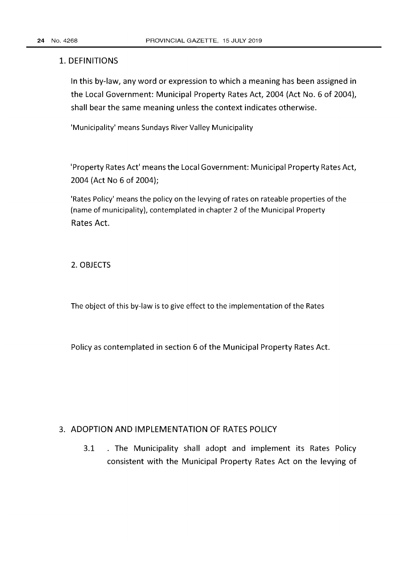### 1. DEFINITIONS

In this by-law, any word or expression to which a meaning has been assigned in the Local Government: Municipal Property Rates Act, 2004 (Act No. 6 of 2004), shall bear the same meaning unless the context indicates otherwise.

'Municipality' means Sundays River Valley Municipality

'Property Rates Act' means the Local Government: Municipal Property Rates Act, 2004 (Act No 6 of 2004);

'Rates Policy' means the policy on the levying of rates on rateable properties of the (name of municipality), contemplated in chapter 2 of the Municipal Property Rates Act.

2. OBJECTS

The object of this by-law is to give effect to the implementation of the Rates

Policy as contemplated in section 6 of the Municipal Property Rates Act.

#### 3. ADOPTION AND IMPLEMENTATION OF RATES POLICY

3.1 . The Municipality shall adopt and implement its Rates Policy consistent with the Municipal Property Rates Act on the levying of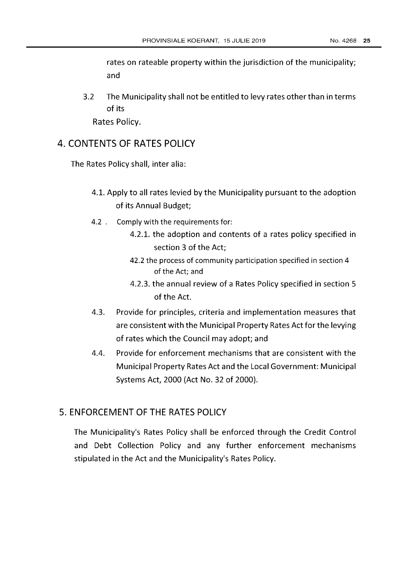rates on rateable property within the jurisdiction of the municipality; and

3.2 The Municipality shall not be entitled to levy rates other than in terms of its

Rates Policy.

# 4. CONTENTS OF RATES POLICY

The Rates Policy shall, inter alia:

- 4.1. Apply to all rates levied by the Municipality pursuant to the adoption of its Annual Budget;
- 4.2. Comply with the requirements for:
	- 4.2.1. the adoption and contents of a rates policy specified in section 3 of the Act;
	- 42.2 the process of community participation specified in section 4 of the Act; and
	- 4.2.3. the annual review of a Rates Policy specified in section 5 of the Act.
- 4.3. Provide for principles, criteria and implementation measures that are consistent with the Municipal Property Rates Act for the levying of rates which the Council may adopt; and
- 4.4. Provide for enforcement mechanisms that are consistent with the Municipal Property Rates Act and the Local Government: Municipal Systems Act, 2000 (Act No. 32 of 2000).

# 5. ENFORCEMENT OF THE RATES POLICY

The Municipality's Rates Policy shall be enforced through the Credit Control and Debt Collection Policy and any further enforcement mechanisms stipulated in the Act and the Municipality's Rates Policy.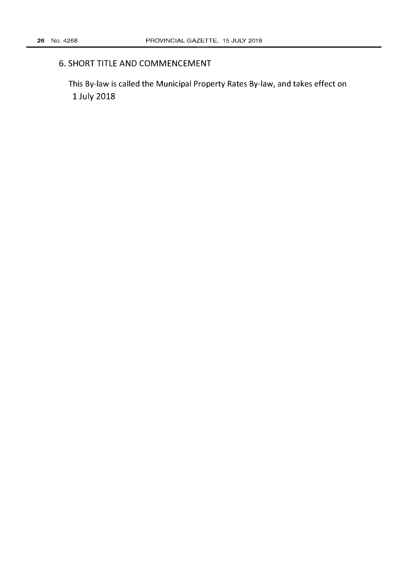## **6. SHORT TITLE AND COMMENCEMENT**

**This By-law is called the Municipal Property Rates By-law, and takes effect on 1 July 2018**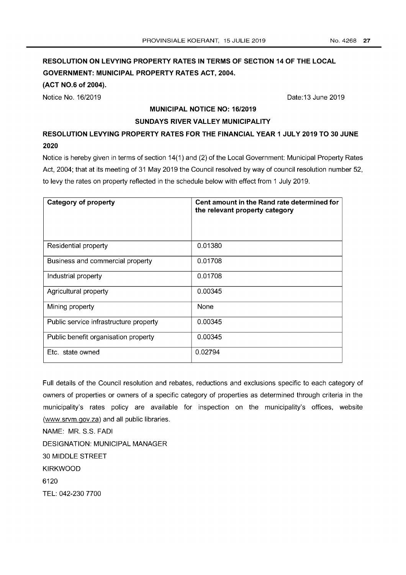# RESOLUTION ON LEVYING PROPERTY RATES IN TERMS OF SECTION 14 OF THE LOCAL GOVERNMENT: MUNICIPAL PROPERTY RATES ACT, 2004.

(ACT NO.6 of 2004).

Notice No. 16/2019 **Date: 13 June 2019** 

### MUNICIPAL NOTICE NO: 16/2019

#### SUNDAYS RIVER VALLEY MUNICIPALITY

### RESOLUTION LEVYING PROPERTY RATES FOR THE FINANCIAL YEAR 1 JULY 2019 TO 30 JUNE 2020

Notice is hereby given in terms of section 14(1) and (2) of the Local Government: Municipal Property Rates Act, 2004; that at its meeting of 31 May 2019 the Council resolved by way of council resolution number 52, to levy the rates on property reflected in the schedule below with effect from 1 July 2019.

| <b>Category of property</b>            | Cent amount in the Rand rate determined for<br>the relevant property category |
|----------------------------------------|-------------------------------------------------------------------------------|
| Residential property                   | 0.01380                                                                       |
| Business and commercial property       | 0.01708                                                                       |
| Industrial property                    | 0.01708                                                                       |
| Agricultural property                  | 0.00345                                                                       |
| Mining property                        | None                                                                          |
| Public service infrastructure property | 0.00345                                                                       |
| Public benefit organisation property   | 0.00345                                                                       |
| Etc. state owned                       | 0.02794                                                                       |

Full details of the Council resolution and rebates, reductions and exclusions specific to each category of owners of properties or owners of a specific category of properties as determined through criteria in the municipality's rates policy are available for inspection on the municipality's offices, website (www.srvm.gov.za) and all public libraries.

NAME: MR. S.S. FADI

DESIGNATION: MUNICIPAL MANAGER

30 MIDDLE STREET

KIRKWOOD

6120

TEL: 042-230 7700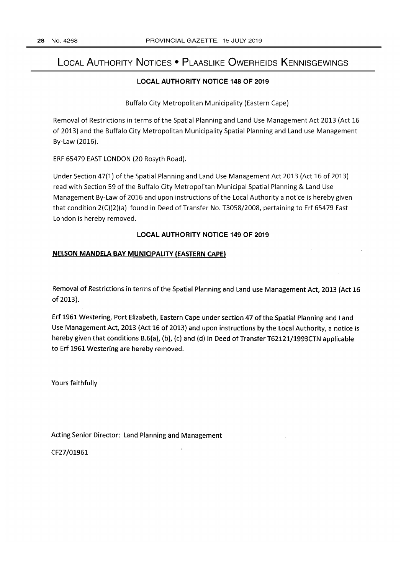# LOCAL AUTHORITY NOTICES • PLAASLIKE OWERHEIDS KENNISGEWINGS

#### **LOCAL AUTHORITY NOTICE 148 OF 2019**

Buffalo City Metropolitan Municipality (Eastern Cape)

Removal of Restrictions in terms of the Spatial Planning and Land Use Management Act 2013 (Act 16 of 2013) and the Buffalo City Metropolitan Municipality Spatial Planning and Land use Management By-Law (2016).

ERF 65479 EAST LONDON (20 Rosyth Road).

Under Section 47(1) of the Spatial Planning and Land Use Management Act 2013 (Act 16 of 2013) read with Section 59 of the Buffalo City Metropolitan Municipal Spatial Planning & Land Use Management By-Law of 2016 and upon instructions of the Local Authority a notice is hereby given that condition 2(C)(2)(a) found in Deed of Transfer No. T3058/2008, pertaining to Erf 65479 East London is hereby removed.

#### **LOCAL AUTHORITY NOTICE 149 OF 2019**

#### **NELSON MANDELA BAY MUNICIPALITY (EASTERN CAPE)**

Removal of Restrictions in terms of the Spatial Planning and Land use Management Act, 2013 (Act 16 of2013).

Erf 1961 Westering, Port Elizabeth, Eastern Cape under section 47 of the Spatial Planning and Land Use Management Act, 2013 (Act 16 of 2013) and upon instructions by the Local Authority, a notice is hereby given that conditions B.6(a), (b), (c) and (d) in Deed of Transfer T62121/1993CTN applicable to Erf 1961 Westering are hereby removed.

Yours faithfully

Acting Senior Director: Land Planning and Management

CF27/01961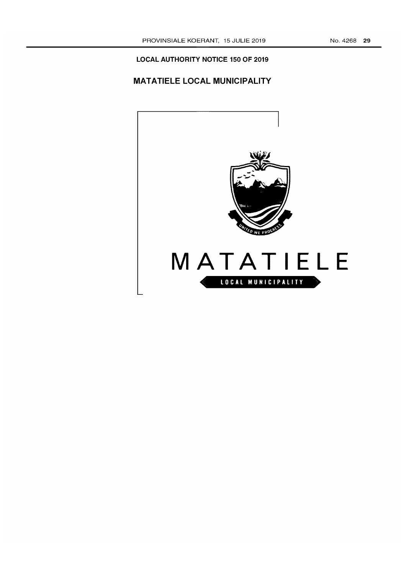### **LOCAL AUTHORITY NOTICE 150 OF 2019**

# **MATATIELE LOCAL MUNICIPALITY**

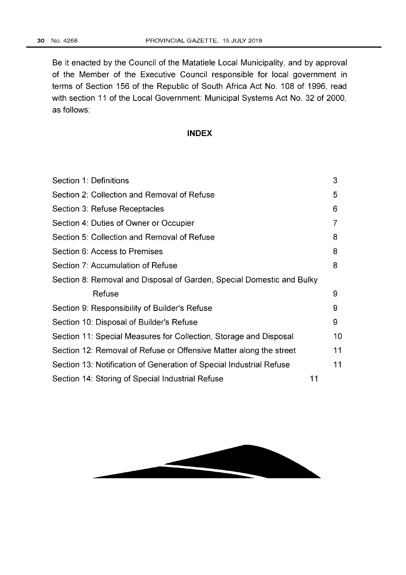Be it enacted by the Council of the Matatiele Local Municipality, and by approval of the Member of the Executive Council responsible for local government in terms of Section 156 of the Republic of South Africa Act No.1 08 of 1996, read with section 11 of the Local Government: Municipal Systems Act No. 32 of 2000, as follows:

#### **INDEX**

| Section 1: Definitions                                                |  | 3  |
|-----------------------------------------------------------------------|--|----|
| Section 2: Collection and Removal of Refuse                           |  | 5  |
| Section 3: Refuse Receptacles                                         |  | 6  |
| Section 4: Duties of Owner or Occupier                                |  | 7  |
| Section 5: Collection and Removal of Refuse                           |  | 8  |
| Section 6: Access to Premises                                         |  | 8  |
| Section 7: Accumulation of Refuse                                     |  | 8  |
| Section 8: Removal and Disposal of Garden, Special Domestic and Bulky |  |    |
| Refuse                                                                |  | 9  |
| Section 9: Responsibility of Builder's Refuse                         |  | 9  |
| Section 10: Disposal of Builder's Refuse                              |  | 9  |
| Section 11: Special Measures for Collection, Storage and Disposal     |  | 10 |
| Section 12: Removal of Refuse or Offensive Matter along the street    |  | 11 |
| Section 13: Notification of Generation of Special Industrial Refuse   |  | 11 |
| Section 14: Storing of Special Industrial Refuse<br>11                |  |    |

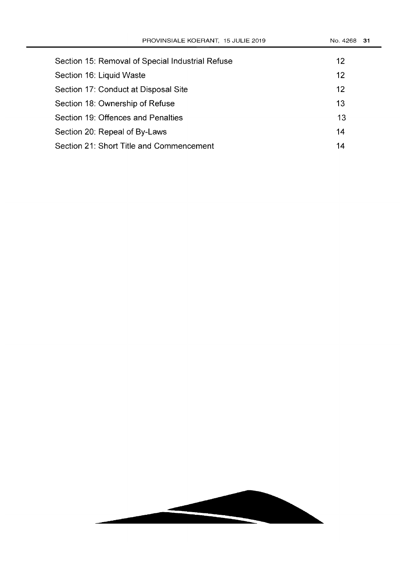| Section 15: Removal of Special Industrial Refuse | 12 |
|--------------------------------------------------|----|
| Section 16: Liquid Waste                         | 12 |
| Section 17: Conduct at Disposal Site             | 12 |
| Section 18: Ownership of Refuse                  | 13 |
| Section 19: Offences and Penalties               | 13 |
| Section 20: Repeal of By-Laws                    | 14 |
| Section 21: Short Title and Commencement         | 14 |

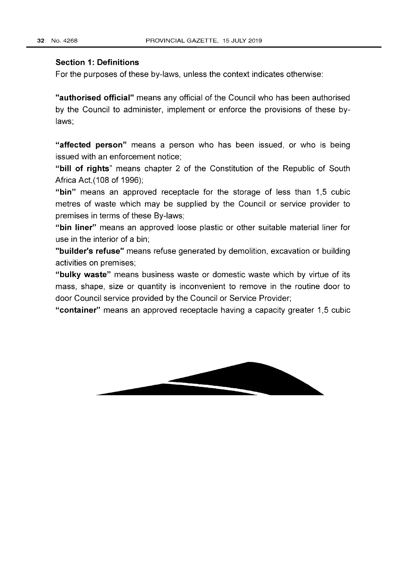### Section 1: Definitions

For the purposes of these by-laws, unless the context indicates otherwise:

"authorised official" means any official of the Council who has been authorised by the Council to administer, implement or enforce the provisions of these bylaws;

"affected person" means a person who has been issued, or who is being issued with an enforcement notice;

"bill of rights" means chapter 2 of the Constitution of the Republic of South Africa Act, (108 of 1996);

"bin" means an approved receptacle for the storage of less than 1,5 cubic metres of waste which may be supplied by the Council or service provider to premises in terms of these By-laws;

"bin liner" means an approved loose plastic or other suitable material liner for use in the interior of a bin;

"builder's refuse" means refuse generated by demolition, excavation or building activities on premises;

"bulky waste" means business waste or domestic waste which by virtue of its mass, shape, size or quantity is inconvenient to remove in the routine door to door Council service provided by the Council or Service Provider;

"container" means an approved receptacle having a capacity greater 1,5 cubic

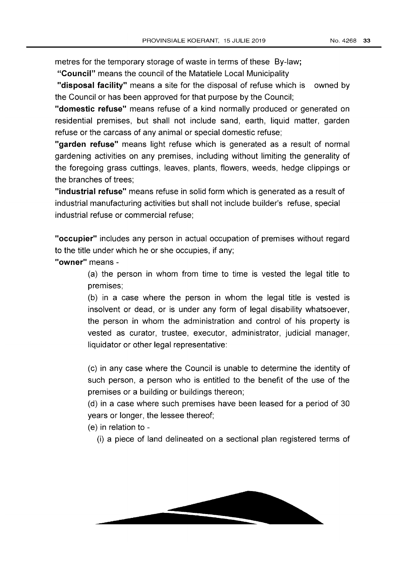metres for the temporary storage of waste in terms of these By-law;

**"Council"** means the council of the Matatiele Local Municipality

**"disposal facility"** means a site for the disposal of refuse which is owned by the Council or has been approved for that purpose by the Council;

**"domestic refuse"** means refuse of a kind normally produced or generated on residential premises, but shall not include sand, earth, liquid matter, garden refuse or the carcass of any animal or special domestic refuse;

**"garden refuse"** means light refuse which is generated as a result of normal gardening activities on any premises, including without limiting the generality of the foregoing grass cuttings, leaves, plants, flowers, weeds, hedge clippings or the branches of trees;

**"industrial refuse"** means refuse in solid form which is generated as a result of industrial manufacturing activities but shall not include builder's refuse, special industrial refuse or commercial refuse;

**"occupier"** includes any person in actual occupation of premises without regard to the title under which he or she occupies, if any;

**"owner"** means -

(a) the person in whom from time to time is vested the legal title to premises;

(b) in a case where the person in whom the legal title is vested is insolvent or dead, or is under any form of legal disability whatsoever, the person in whom the administration and control of his property is vested as curator, trustee, executor, administrator, judicial manager, liquidator or other legal representative:

(c) in any case where the Council is unable to determine the identity of such person, a person who is entitled to the benefit of the use of the premises or a building or buildings thereon;

(d) in a case where such premises have been leased for a period of 30 years or longer, the lessee thereof;

(e) in relation to -

(i) a piece of land delineated on a sectional plan registered terms of

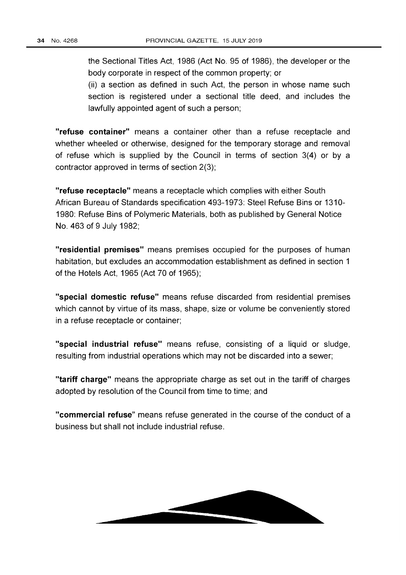the Sectional Titles Act, 1986 (Act No. 95 of 1986), the developer or the body corporate in respect of the common property; or

(ii) a section as defined in such Act, the person in whose name such section is registered under a sectional title deed, and includes the lawfully appointed agent of such a person;

**"refuse container"** means a container other than a refuse receptacle and whether wheeled or otherwise, designed for the temporary storage and removal of refuse which is supplied by the Council in terms of section 3(4) or by a contractor approved in terms of section 2(3);

**"refuse receptacle"** means a receptacle which complies with either South African Bureau of Standards specification 493-1973: Steel Refuse Bins or 1310- 1980: Refuse Bins of Polymeric Materials, both as published by General Notice No. 463 of 9 July 1982;

**"residential premises"** means premises occupied for the purposes of human habitation, but excludes an accommodation establishment as defined in section 1 of the Hotels Act, 1965 (Act 70 of 1965);

**"special domestic refuse"** means refuse discarded from residential premises which cannot by virtue of its mass, shape, size or volume be conveniently stored in a refuse receptacle or container;

**"special industrial refuse"** means refuse, consisting of a liquid or sludge, resulting from industrial operations which may not be discarded into a sewer;

**"tariff charge"** means the appropriate charge as set out in the tariff of charges adopted by resolution of the Council from time to time; and

**"commercial refuse"** means refuse generated in the course of the conduct of a business but shall not include industrial refuse.

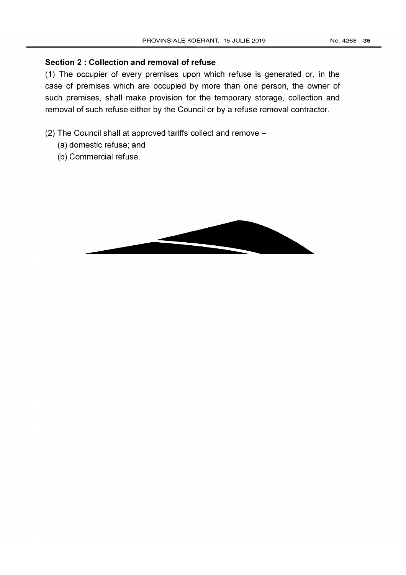### **Section 2 : Collection and removal of refuse**

(1) The occupier of every premises upon which refuse is generated or, in the case of premises which are occupied by more than one person, the owner of such premises, shall make provision for the temporary storage, collection and removal of such refuse either by the Council or by a refuse removal contractor.

- (2) The Council shall at approved tariffs collect and remove -
	- (a) domestic refuse; and
	- (b) Commercial refuse.

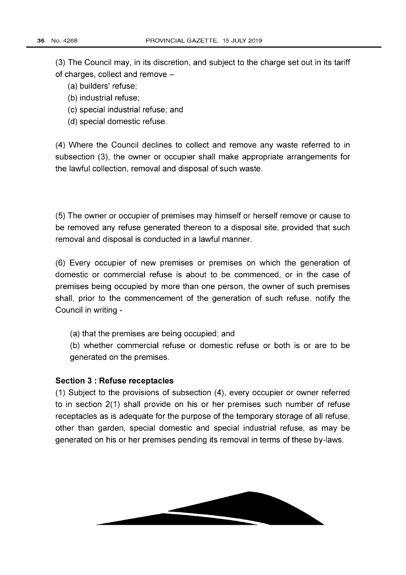(3) The Council may, in its discretion, and subject to the charge set out in its tariff of charges, collect and remove -

(a) builders' refuse;

- (b) industrial refuse;
- (c) special industrial refuse; and
- (d) special domestic refuse.

(4) Where the Council declines to collect and remove any waste referred to in subsection (3), the owner or occupier shall make appropriate arrangements for the lawful collection, removal and disposal of such waste.

(5) The owner or occupier of premises may himself or herself remove or cause to be removed any refuse generated thereon to a disposal site, provided that such removal and disposal is conducted in a lawful manner.

(6) Every occupier of new premises or premises on which the generation of domestic or commercial refuse is about to be commenced, or in the case of premises being occupied by more than one person, the owner of such premises shall, prior to the commencement of the generation of such refuse, notify the Council in writing -

(a) that the premises are being occupied; and

(b) whether commercial refuse or domestic refuse or both is or are to be generated on the premises.

### **Section 3 : Refuse receptacles**

(1) Subject to the provisions of subsection (4), every occupier or owner referred to in section 2(1) shall provide on his or her premises such number of refuse receptacles as is adequate for the purpose of the temporary storage of all refuse, other than garden, special domestic and special industrial refuse, as may be generated on his or her premises pending its removal in terms of these by-laws.

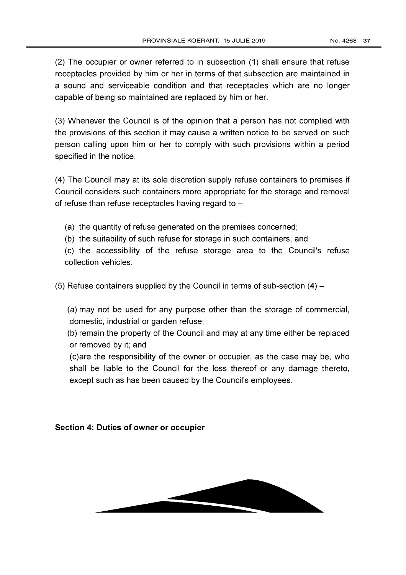(2) The occupier or owner referred to in subsection (1) shall ensure that refuse receptacles provided by him or her in terms of that subsection are maintained in a sound and serviceable condition and that receptacles which are no longer capable of being so maintained are replaced by him or her.

(3) Whenever the Council is of the opinion that a person has not complied with the provisions of this section it may cause a written notice to be served on such person calling upon him or her to comply with such provisions within a period specified in the notice.

(4) The Council may at its sole discretion supply refuse containers to premises if Council considers such containers more appropriate for the storage and removal of refuse than refuse receptacles having regard to  $-$ 

(a) the quantity of refuse generated on the premises concerned;

(b) the suitability of such refuse for storage in such containers; and

(c) the accessibility of the refuse storage area to the Council's refuse collection vehicles.

(5) Refuse containers supplied by the Council in terms of sub-section  $(4)$  –

(a) may not be used for any purpose other than the storage of commercial, domestic, industrial or garden refuse;

(b) remain the property of the Council and may at any time either be replaced or removed by it; and

(c)are the responsibility of the owner or occupier, as the case may be, who shall be liable to the Council for the loss thereof or any damage thereto, except such as has been caused by the Council's employees.

#### **Section 4: Duties of owner or occupier**

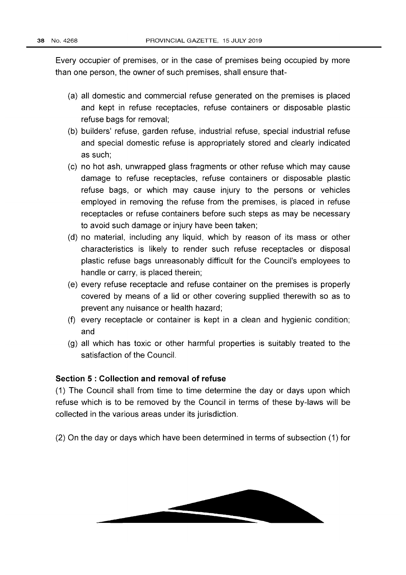Every occupier of premises, or in the case of premises being occupied by more than one person, the owner of such premises, shall ensure that-

- (a) all domestic and commercial refuse generated on the premises is placed and kept in refuse receptacles, refuse containers or disposable plastic refuse bags for removal;
- (b) builders' refuse, garden refuse, industrial refuse, special industrial refuse and special domestic refuse is appropriately stored and clearly indicated as such;
- (c) no hot ash, unwrapped glass fragments or other refuse which may cause damage to refuse receptacles, refuse containers or disposable plastic refuse bags, or which may cause injury to the persons or vehicles employed in removing the refuse from the premises, is placed in refuse receptacles or refuse containers before such steps as may be necessary to avoid such damage or injury have been taken;
- (d) no material, including any liquid, which by reason of its mass or other characteristics is likely to render such refuse receptacles or disposal plastic refuse bags unreasonably difficult for the Council's employees to handle or carry, is placed therein;
- (e) every refuse receptacle and refuse container on the premises is properly covered by means of a lid or other covering supplied therewith so as to prevent any nuisance or health hazard;
- (f) every receptacle or container is kept in a clean and hygienic condition; and
- (g) all which has toxic or other harmful properties is suitably treated to the satisfaction of the Council.

# **Section 5 : Collection and removal of refuse**

(1) The Council shall from time to time determine the day or days upon which refuse which is to be removed by the Council in terms of these by-laws will be collected in the various areas under its jurisdiction.

(2) On the day or days which have been determined in terms of subsection (1) for

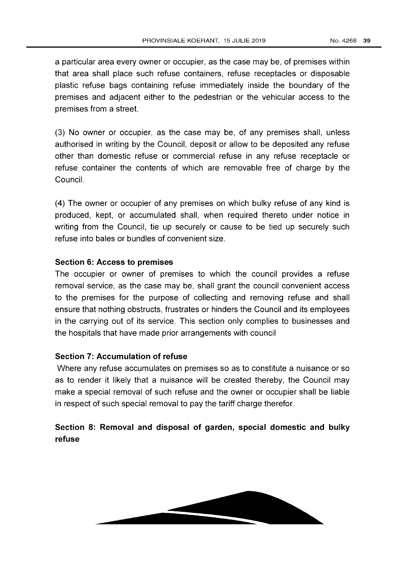a particular area every owner or occupier, as the case may be, of premises within that area shall place such refuse containers, refuse receptacles or disposable plastic refuse bags containing refuse immediately inside the boundary of the premises and adjacent either to the pedestrian or the vehicular access to the premises from a street.

(3) No owner or occupier, as the case may be, of any premises shall, unless authorised in writing by the Council, deposit or allow to be deposited any refuse other than domestic refuse or commercial refuse in any refuse receptacle or refuse container the contents of which are removable free of charge by the Council.

(4) The owner or occupier of any premises on which bulky refuse of any kind is produced, kept, or accumulated shall, when required thereto under notice in writing from the Council, tie up securely or cause to be tied up securely such refuse into bales or bundles of convenient size.

#### **Section 6: Access to premises**

The occupier or owner of premises to which the council provides a refuse removal service, as the case may be, shall grant the council convenient access to the premises for the purpose of collecting and removing refuse and shall ensure that nothing obstructs, frustrates or hinders the Council and its employees in the carrying out of its service. This section only complies to businesses and the hospitals that have made prior arrangements with council

## **Section 7: Accumulation of refuse**

Where any refuse accumulates on premises so as to constitute a nuisance or so as to render it likely that a nuisance will be created thereby, the Council may make a special removal of such refuse and the owner or occupier shall be liable in respect of such special removal to pay the tariff charge therefor.

# **Section 8: Removal and disposal of garden, special domestic and bulky refuse**

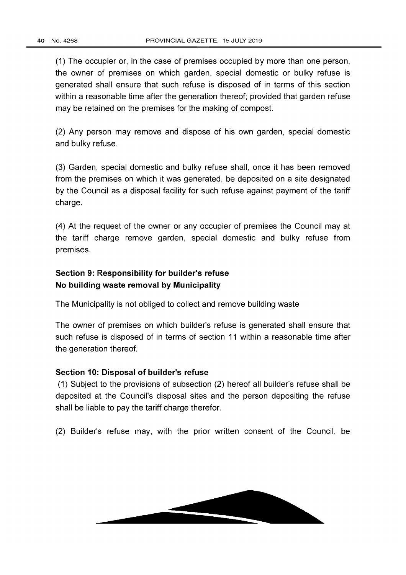(1) The occupier or, in the case of premises occupied by more than one person, the owner of premises on which garden, special domestic or bulky refuse is generated shall ensure that such refuse is disposed of in terms of this section within a reasonable time after the generation thereof; provided that garden refuse may be retained on the premises for the making of compost.

(2) Any person may remove and dispose of his own garden, special domestic and bulky refuse.

(3) Garden, special domestic and bulky refuse shall, once it has been removed from the premises on which it was generated, be deposited on a site designated by the Council as a disposal facility for such refuse against payment of the tariff charge.

(4) At the request of the owner or any occupier of premises the Council may at the tariff charge remove garden, special domestic and bulky refuse from premises.

# **Section 9: Responsibility for builder's refuse No building waste removal by Municipality**

The Municipality is not obliged to collect and remove building waste

The owner of premises on which builder's refuse is generated shall ensure that such refuse is disposed of in terms of section 11 within a reasonable time after the generation thereof.

#### **Section 10: Disposal of builder's refuse**

(1) Subject to the provisions of subsection (2) hereof all builder's refuse shall be deposited at the Council's disposal sites and the person depositing the refuse shall be liable to pay the tariff charge therefor.

(2) Builder's refuse may, with the prior written consent of the Council, be

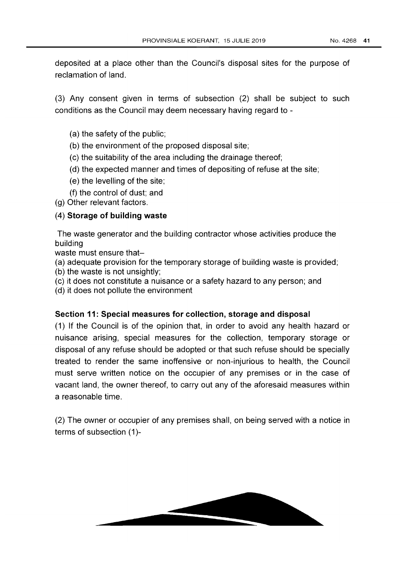deposited at a place other than the Council's disposal sites for the purpose of reclamation of land.

(3) Any consent given in terms of subsection (2) shall be subject to such conditions as the Council may deem necessary having regard to -

- (a) the safety of the public;
- (b) the environment of the proposed disposal site;
- (c) the suitability of the area including the drainage thereof;
- (d) the expected manner and times of depositing of refuse at the site;
- (e) the levelling of the site;
- (f) the control of dust; and
- (g) Other relevant factors.

#### (4) **Storage of building waste**

The waste generator and the building contractor whose activities produce the building

waste must ensure that-

- (a) adequate provision for the temporary storage of building waste is provided;
- (b) the waste is not unsightly;
- (c) it does not constitute a nuisance or a safety hazard to any person; and
- (d) it does not pollute the environment

#### **Section 11: Special measures for collection, storage and disposal**

(1) If the Council is of the opinion that, in order to avoid any health hazard or nuisance arising, special measures for the collection, temporary storage or disposal of any refuse should be adopted or that such refuse should be specially treated to render the same inoffensive or non-injurious to health, the Council must serve written notice on the occupier of any premises or in the case of vacant land, the owner thereof, to carry out any of the aforesaid measures within a reasonable time.

(2) The owner or occupier of any premises shall, on being served with a notice in terms of subsection (1)-

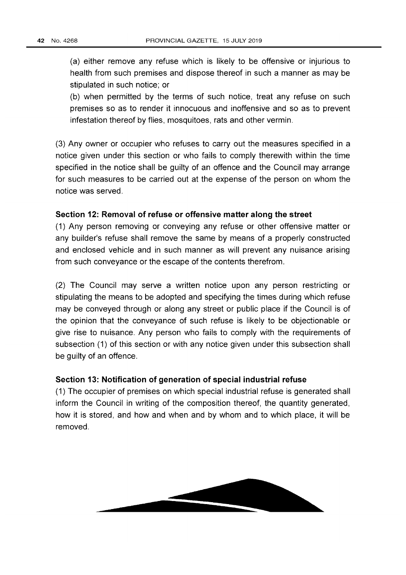(a) either remove any refuse which is likely to be offensive or injurious to health from such premises and dispose thereof in such a manner as may be stipulated in such notice; or

(b) when permitted by the terms of such notice, treat any refuse on such premises so as to render it innocuous and inoffensive and so as to prevent infestation thereof by flies, mosquitoes, rats and other vermin.

(3) Any owner or occupier who refuses to carry out the measures specified in a notice given under this section or who fails to comply therewith within the time specified in the notice shall be guilty of an offence and the Council may arrange for such measures to be carried out at the expense of the person on whom the notice was served.

#### **Section 12: Removal of refuse or offensive matter along the street**

(1) Any person removing or conveying any refuse or other offensive matter or any builder's refuse shall remove the same by means of a properly constructed and enclosed vehicle and in such manner as will prevent any nuisance arising from such conveyance or the escape of the contents therefrom.

(2) The Council may serve a written notice upon any person restricting or stipulating the means to be adopted and specifying the times during which refuse may be conveyed through or along any street or public place if the Council is of the opinion that the conveyance of such refuse is likely to be objectionable or give rise to nuisance. Any person who fails to comply with the requirements of subsection (1) of this section or with any notice given under this subsection shall be guilty of an offence.

#### **Section 13: Notification of generation of special industrial refuse**

(1) The occupier of premises on which special industrial refuse is generated shall inform the Council in writing of the composition thereof, the quantity generated, how it is stored, and how and when and by whom and to which place, it will be removed.

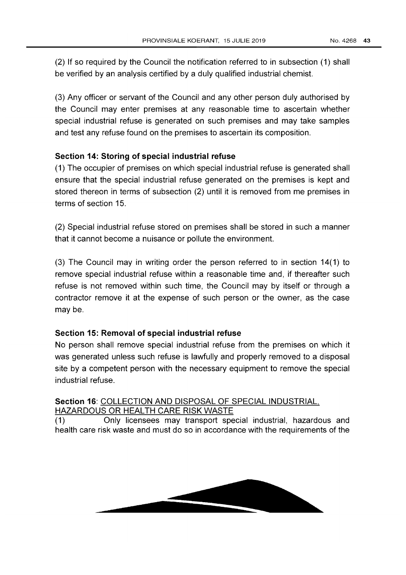(2) If so required by the Council the notification referred to in subsection (1) shall be verified by an analysis certified by a duly qualified industrial chemist.

(3) Any officer or servant of the Council and any other person duly authorised by the Council may enter premises at any reasonable time to ascertain whether special industrial refuse is generated on such premises and may take samples and test any refuse found on the premises to ascertain its composition.

## Section 14: Storing of special industrial refuse

(1) The occupier of premises on which special industrial refuse is generated shall ensure that the special industrial refuse generated on the premises is kept and stored thereon in terms of subsection (2) until it is removed from me premises in terms of section 15.

(2) Special industrial refuse stored on premises shall be stored in such a manner that it cannot become a nuisance or pollute the environment.

(3) The Council may in writing order the person referred to in section 14(1) to remove special industrial refuse within a reasonable time and, if thereafter such refuse is not removed within such time, the Council may by itself or through a contractor remove it at the expense of such person or the owner, as the case may be.

## Section 15: Removal of special industrial refuse

No person shall remove special industrial refuse from the premises on which it was generated unless such refuse is lawfully and properly removed to a disposal site by a competent person with the necessary equipment to remove the special industrial refuse.

## Section 16: COLLECTION AND DISPOSAL OF SPECIAL INDUSTRIAL, HAZARDOUS OR HEALTH CARE RISK WASTE

(1) Only licensees may transport special industrial, hazardous and health care risk waste and must do so in accordance with the requirements of the

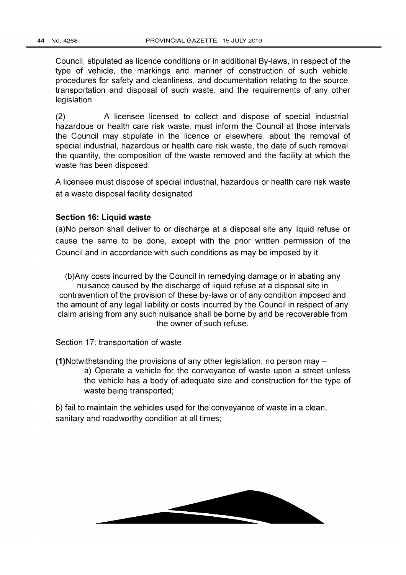Council, stipulated as licence conditions or in additional By-laws, in respect of the type of vehicle, the markings and manner of construction of such vehicle, procedures for safety and cleanliness, and documentation relating to the source, transportation and disposal of such waste, and the requirements of any other legislation.

(2) A licensee licensed to collect and dispose of special industrial, hazardous or health care risk waste, must inform the Council at those intervals the Council may stipulate in the licence or elsewhere, about the removal of special industrial, hazardous or health care risk waste, the date of such removal, the quantity, the composition of the waste removed and the facility at which the waste has been disposed.

A licensee must dispose of special industrial, hazardous or health care risk waste at a waste disposal facility designated

#### **Section 16: Liquid waste**

(a)No person shall deliver to or discharge at a disposal site any liquid refuse or cause the same to be done, except with the prior written permission of the Council and in accordance with such conditions as may be imposed by it.

(b)Any costs incurred by the Council in remedying damage or in abating any nuisance caused by the discharge of liquid refuse at a disposal site in contravention of the provision of these by-laws or of any condition imposed and the amount of any legal liability or costs incurred by the Council in respect of any claim arising from any such nuisance shall be borne by and be recoverable from the owner of such refuse.

Section 17: transportation of waste

(1)Notwithstanding the provisions of any other legislation, no person may  $$ a) Operate a vehicle for the conveyance of waste upon a street unless the vehicle has a body of adequate size and construction for the type of waste being transported;

b) fail to maintain the vehicles used for the conveyance of waste in a clean, sanitary and roadworthy condition at all times;

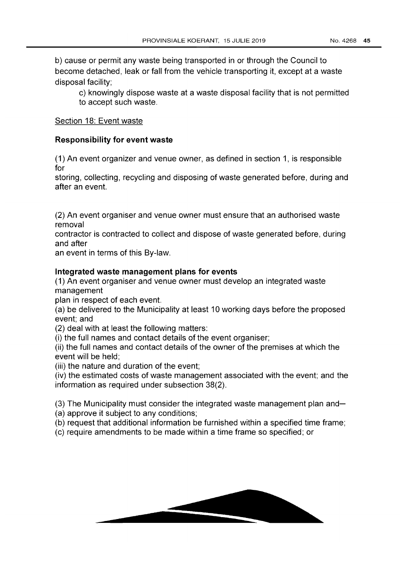b) cause or permit any waste being transported in or through the Council to become detached, leak or fall from the vehicle transporting it, except at a waste disposal facility;

c) knowingly dispose waste at a waste disposal facility that is not permitted to accept such waste.

#### Section 18: Event waste

#### **Responsibility for event waste**

(1) An event organizer and venue owner, as defined in section 1, is responsible for

storing, collecting, recycling and disposing of waste generated before, during and after an event.

(2) An event organiser and venue owner must ensure that an authorised waste removal

contractor is contracted to collect and dispose of waste generated before, during and after

an event in terms of this By-law.

#### **Integrated waste management plans for events**

(1) An event organiser and venue owner must develop an integrated waste management

plan in respect of each event.

(a) be delivered to the Municipality at least 10 working days before the proposed event; and

(2) deal with at least the following matters:

(i) the full names and contact details of the event organiser;

(ii) the full names and contact details of the owner of the premises at which the event will be held;

(iii) the nature and duration of the event;

(iv) the estimated costs of waste management associated with the event; and the information as required under subsection 38(2).

(3) The Municipality must consider the integrated waste management plan and-

(a) approve it subject to any conditions;

(b) request that additional information be furnished within a specified time frame;

(c) require amendments to be made within a time frame so specified; or

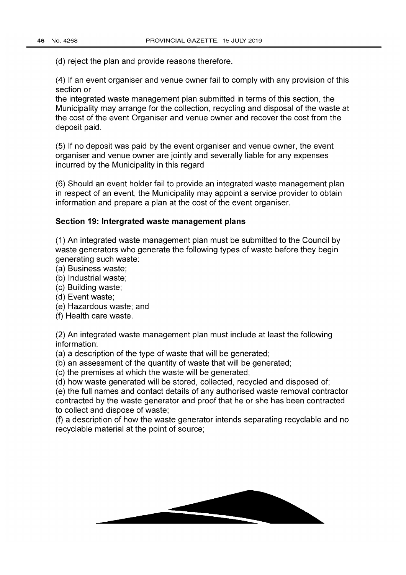(d) reject the plan and provide reasons therefore.

(4) If an event organiser and venue owner fail to comply with any provision of this section or

the integrated waste management plan submitted in terms of this section, the Municipality may arrange for the collection, recycling and disposal of the waste at the cost of the event Organiser and venue owner and recover the cost from the deposit paid.

(5) If no deposit was paid by the event organiser and venue owner, the event organiser and venue owner are jointly and severally liable for any expenses incurred by the Municipality in this regard

(6) Should an event holder fail to provide an integrated waste management plan in respect of an event, the Municipality may appoint a service provider to obtain information and prepare a plan at the cost of the event organiser.

#### **Section 19: Intergrated waste management plans**

(1) An integrated waste management plan must be submitted to the Council by waste generators who generate the following types of waste before they begin generating such waste:

- (a) Business waste;
- (b) Industrial waste;
- (c) Building waste;
- (d) Event waste;
- (e) Hazardous waste; and
- (f) Health care waste.

(2) An integrated waste management plan must include at least the following information:

(a) a description of the type of waste that will be generated;

(b) an assessment of the quantity of waste that will be generated;

(c) the premises at which the waste will be generated;

(d) how waste generated will be stored, collected, recycled and disposed of;

(e) the full names and contact details of any authorised waste removal contractor contracted by the waste generator and proof that he or she has been contracted to collect and dispose of waste;

(f) a description of how the waste generator intends separating recyclable and no recyclable material at the point of source;

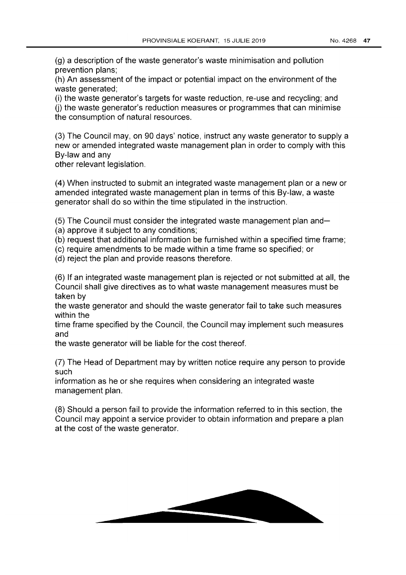(g) a description of the waste generator's waste minimisation and pollution prevention plans;

(h) An assessment of the impact or potential impact on the environment of the waste generated:

(i) the waste generator's targets for waste reduction, re-use and recycling; and (i) the waste generator's reduction measures or programmes that can minimise the consumption of natural resources.

(3) The Council may, on 90 days' notice, instruct any waste generator to supply a new or amended integrated waste management plan in order to comply with this By-law and any

other relevant legislation.

(4) When instructed to submit an integrated waste management plan or a new or amended integrated waste management plan in terms of this By-law, a waste generator shall do so within the time stipulated in the instruction.

(5) The Council must consider the integrated waste management plan and-

(a) approve it subject to any conditions;

(b) request that additional information be furnished within a specified time frame;

(c) require amendments to be made within a time frame so specified; or

(d) reject the plan and provide reasons therefore.

(6) If an integrated waste management plan is rejected or not submitted at all, the Council shall give directives as to what waste management measures must be taken by

the waste generator and should the waste generator fail to take such measures within the

time frame specified by the Council, the Council may implement such measures and

the waste generator will be liable for the cost thereof.

(7) The Head of Department may by written notice require any person to provide such

information as he or she requires when considering an integrated waste management plan.

(8) Should a person fail to provide the information referred to in this section, the Council may appoint a service provider to obtain information and prepare a plan at the cost of the waste generator.

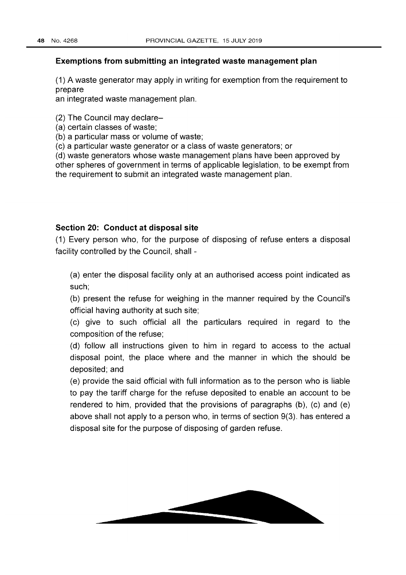#### **Exemptions from submitting an integrated waste management plan**

(1) A waste generator may apply in writing for exemption from the requirement to prepare

an integrated waste management plan.

(2) The Council may declare-

(a) certain classes of waste;

(b) a particular mass or volume of waste;

(c) a particular waste generator or a class of waste generators; or

(d) waste generators whose waste management plans have been approved by other spheres of government in terms of applicable legislation, to be exempt from the requirement to submit an integrated waste management plan.

#### **Section 20: Conduct at disposal site**

(1) Every person who, for the purpose of disposing of refuse enters a disposal facility controlled by the Council, shall -

(a) enter the disposal facility only at an authorised access point indicated as such;

(b) present the refuse for weighing in the manner required by the Council's official having authority at such site;

(c) give to such official all the particulars required in regard to the composition of the refuse;

(d) follow all instructions given to him in regard to access to the actual disposal point, the place where and the manner in which the should be deposited; and

(e) provide the said official with full information as to the person who is liable to pay the tariff charge for the refuse deposited to enable an account to be rendered to him, provided that the provisions of paragraphs (b), (c) and (e) above shall not apply to a person who, in terms of section 9(3). has entered a disposal site for the purpose of disposing of garden refuse.

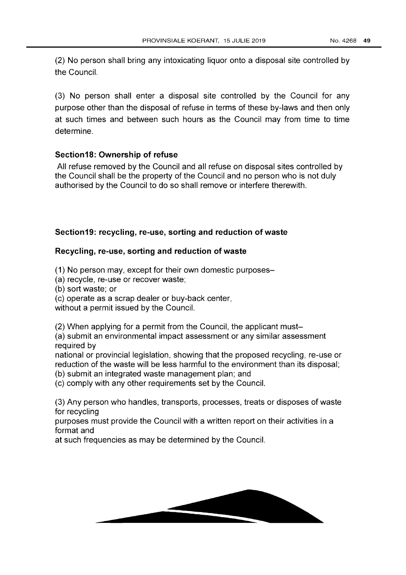(2) No person shall bring any intoxicating liquor onto a disposal site controlled by the Council.

(3) No person shall enter a disposal site controlled by the Council for any purpose other than the disposal of refuse in terms of these by-laws and then only at such times and between such hours as the Council may from time to time determine.

#### **Section18: Ownership of refuse**

All refuse removed by the Council and all refuse on disposal sites controlled by the Council shall be the property of the Council and no person who is not duly authorised by the Council to do so shall remove or interfere therewith.

#### **Section19: recycling, re-use, sorting and reduction of waste**

#### **Recycling, re-use, sorting and reduction of waste**

(1) No person may, except for their own domestic purposes-

(a) recycle, re-use or recover waste;

(b) sort waste; or

(c) operate as a scrap dealer or buy-back center, without a permit issued by the Council.

(2) When applying for a permit from the Council, the applicant must-

(a) submit an environmental impact assessment or any similar assessment required by

national or provincial legislation, showing that the proposed recycling, re-use or reduction of the waste will be less harmful to the environment than its disposal;

(b) submit an integrated waste management plan; and

(c) comply with any other requirements set by the Council.

(3) Any person who handles, transports, processes, treats or disposes of waste for recycling

purposes must provide the Council with a written report on their activities in a format and

at such frequencies as may be determined by the Council.

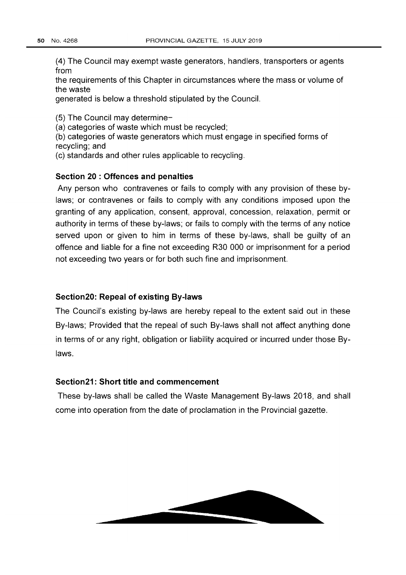(4) The Council may exempt waste generators, handlers, transporters or agents from

the requirements of this Chapter in circumstances where the mass or volume of the waste

generated is below a threshold stipulated by the Council.

(5) The Council may determine-

(a) categories of waste which must be recycled;

(b) categories of waste generators which must engage in specified forms of recycling; and

(c) standards and other rules applicable to recycling.

#### **Section 20 : Offences and penalties**

Any person who contravenes or fails to comply with any provision of these bylaws; or contravenes or fails to comply with any conditions imposed upon the granting of any application, consent, approval, concession, relaxation, permit or authority in terms of these by-laws; or fails to comply with the terms of any notice served upon or given to him in terms of these by-laws, shall be guilty of an offence and liable for a fine not exceeding R30 000 or imprisonment for a period not exceeding two years or for both such fine and imprisonment.

#### **Section20: Repeal of existing By-laws**

The Council's existing by-laws are hereby repeal to the extent said out in these By-laws; Provided that the repeal of such By-laws shall not affect anything done in terms of or any right, obligation or liability acquired or incurred under those Bylaws.

#### **Section21: Short title and commencement**

These by-laws shall be called the Waste Management By-laws 2018, and shall come into operation from the date of proclamation in the Provincial gazette.

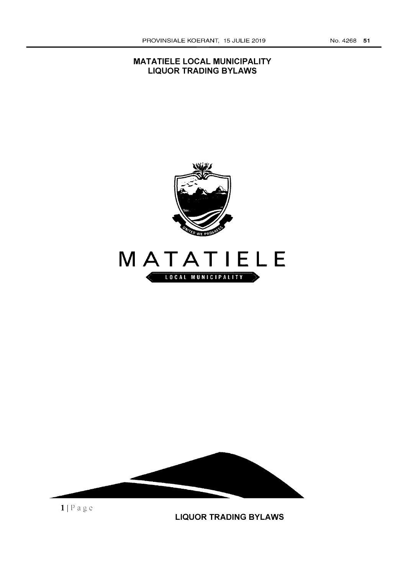# **MATATIELE LOCAL MUNICIPALITY LIQUOR TRADING BYLAWS**

**MATATIELE** 



IIPagc

**LIQUOR TRADING BYLAWS** 

No.4268 **51**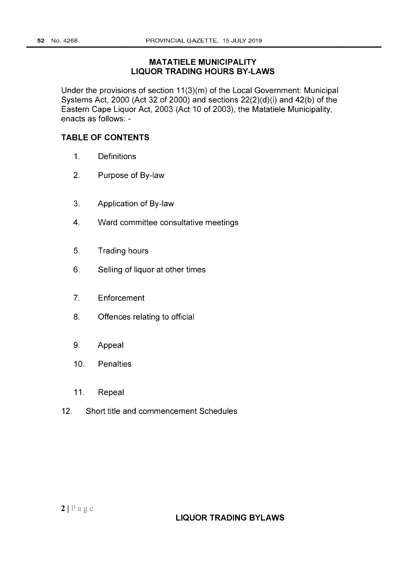# **MATATIELE MUNICIPALITY LIQUOR TRADING HOURS BY-LAWS**

Under the provisions of section 11 (3)(m) of the Local Government: Municipal Systems Act, 2000 (Act 32 of 2000) and sections 22(2)(d)(i) and 42(b) of the Eastern Cape Liquor Act, 2003 (Act 10 of 2003), the Matatiele Municipality, enacts as follows: -

# **TABLE OF CONTENTS**

- 1. Definitions
- 2. Purpose of By-law
- 3. Application of By-law
- 4. Ward committee consultative meetings
- 5. Trading hours
- 6. Selling of liquor at other times
- 7. Enforcement
- 8. Offences relating to official
- 9. Appeal
- 10. Penalties
- 11. Repeal
- 12. Short title and commencement Schedules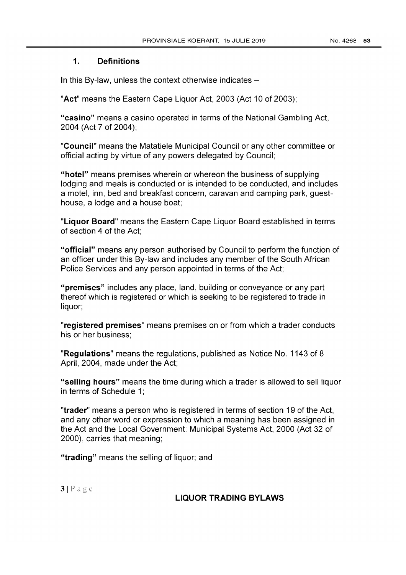#### No.4268 53

## 1. Definitions

In this By-law, unless the context otherwise indicates  $-$ 

"Act" means the Eastern Cape Liquor Act, 2003 (Act 10 of 2003);

"casino" means a casino operated in terms of the National Gambling Act, 2004 (Act 7 of 2004);

"Council" means the Matatiele Municipal Council or any other committee or official acting by virtue of any powers delegated by Council;

"hotel" means premises wherein or whereon the business of supplying lodging and meals is conducted or is intended to be conducted, and includes a motel, inn, bed and breakfast concern, caravan and camping park, guesthouse, a lodge and a house boat;

"Liquor Board" means the Eastern Cape Liquor Board established in terms of section 4 of the Act;

"official" means any person authorised by Council to perform the function of an officer under this By-law and includes any member of the South African Police Services and any person appointed in terms of the Act;

"premises" includes any place, land, building or conveyance or any part thereof which is registered or which is seeking to be registered to trade in liquor;

"registered premises" means premises on or from which a trader conducts his or her business;

"Regulations" means the regulations, published as Notice No. 1143 of 8 April, 2004, made under the Act;

"selling hours" means the time during which a trader is allowed to sell liquor in terms of Schedule 1;

"trader" means a person who is registered in terms of section 19 of the Act, and any other word or expression to which a meaning has been assigned in the Act and the Local Government: Municipal Systems Act, 2000 (Act 32 of 2000), carries that meaning;

"trading" means the selling of liquor; and

 $3|Page$ 

LIQUOR TRADING BYLAWS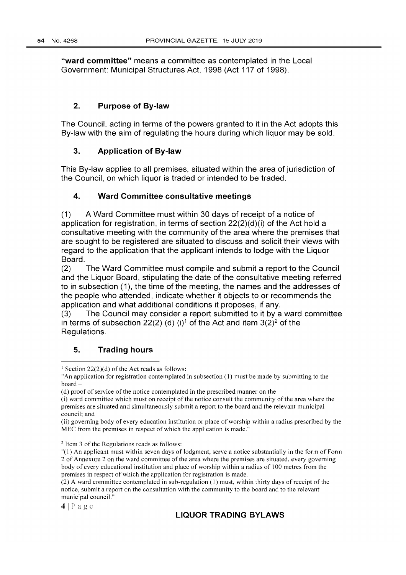"ward committee" means a committee as contemplated in the Local Government: Municipal Structures Act, 1998 (Act 117 of 1998).

#### 2. Purpose of By-law

The Council, acting in terms of the powers granted to it in the Act adopts this By-law with the aim of regulating the hours during which liquor may be sold.

## 3. Application of By-law

This By-law applies to all premises, situated within the area of jurisdiction of the Council, on which liquor is traded or intended to be traded.

#### 4. Ward Committee consultative meetings

(1) A Ward Committee must within 30 days of receipt of a notice of application for registration, in terms of section 22(2)(d)(i) of the Act hold a consultative meeting with the community of the area where the premises that are sought to be registered are situated to discuss and solicit their views with regard to the application that the applicant intends to lodge with the Liquor Board.

(2) The Ward Committee must compile and submit a report to the Council and the Liquor Board, stipulating the date of the consultative meeting referred to in subsection (1), the time of the meeting, the names and the addresses of the people who attended, indicate whether it objects to or recommends the application and what additional conditions it proposes, if any.

(3) The Council may consider a report submitted to it by a ward committee in terms of subsection 22(2) (d) (i)<sup>1</sup> of the Act and item  $3(2)^2$  of the Regulations.

# 5. Trading hours

 $2$  Item 3 of the Regulations reads as follows:

(2) A ward committee contemplated in sub-regulation (I) must, within thirty days of receipt of the notice, submit a report on the consultation with the community to the board and to the relevant municipal council."

 $4$  | P a g c

<sup>&</sup>lt;sup>1</sup> Section 22(2)(d) of the Act reads as follows:

<sup>&</sup>quot;An application for registration contemplated in subsection (1) must be made by submitting to the board-

<sup>(</sup>d) proof of service of the notice contemplated in the prescribed manner on the  $-$ 

<sup>(</sup>i) ward committee which must on receipt of the notice consult the community of the area where the premises are situated and simultaneously submit a report to the board and the relevant municipal council; and

<sup>(</sup>ii) governing body of every education institution or place of worship within a radius prescribed by the MEC from the premises in respect of which the application is made."

<sup>&</sup>quot;( 1) An applicant must within seven days oflodgment, serve a notice substantially in the form of Form 2 of Annexure 2 on the ward committee of the area where the premises are situated, every governing body of every educational institution and place of worship within a radius of 100 metres from the premises in respect of which the application for registration is made.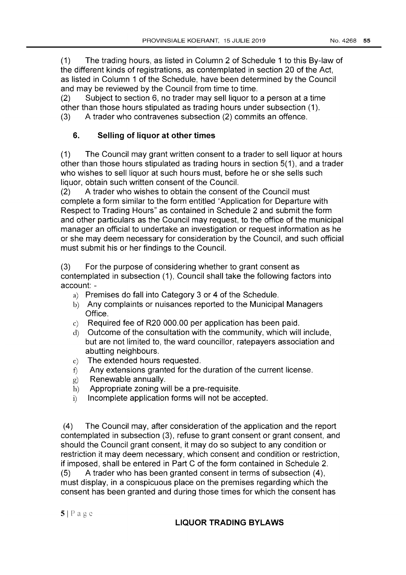(1) The trading hours, as listed in Column 2 of Schedule 1 to this By-law of the different kinds of registrations, as contemplated in section 20 of the Act, as listed in Column 1 of the Schedule, have been determined by the Council and may be reviewed by the Council from time to time.

(2) Subject to section 6, no trader may sell liquor to a person at a time other than those hours stipulated as trading hours under subsection (1). (3) A trader who contravenes subsection (2) commits an offence.

# **6. Selling of liquor at other times**

(1) The Council may grant written consent to a trader to sell liquor at hours other than those hours stipulated as trading hours in section 5(1), and a trader who wishes to sell liquor at such hours must, before he or she sells such liquor, obtain such written consent of the Council.

(2) A trader who wishes to obtain the consent of the Council must complete a form similar to the form entitled "Application for Departure with Respect to Trading Hours" as contained in Schedule 2 and submit the form and other particulars as the Council may request, to the office of the municipal manager an official to undertake an investigation or request information as he or she may deem necessary for consideration by the Council, and such official must submit his or her findings to the Council.

(3) For the purpose of considering whether to grant consent as contemplated in subsection (1), Council shall take the following factors into account: -

- a) Premises do fall into Category 3 or 4 of the Schedule.
- b) Any complaints or nuisances reported to the Municipal Managers Office.
- c) Required fee of R20 000.00 per application has been paid.
- d) Outcome of the consultation with the community, which will include, but are not limited to, the ward councillor, ratepayers association and abutting neighbours.
- e) The extended hours requested.
- $f$  Any extensions granted for the duration of the current license.
- g) Renewable annually.
- h) Appropriate zoning will be a pre-requisite.
- i) Incomplete application forms will not be accepted.

(4) The Council may, after consideration of the application and the report contemplated in subsection (3), refuse to grant consent or grant consent, and should the Council grant consent, it may do so subject to any condition or restriction it may deem necessary, which consent and condition or restriction, if imposed, shall be entered in Part C of the form contained in Schedule 2.

(5) A trader who has been granted consent in terms of subsection (4), must display, in a conspicuous place on the premises regarding which the consent has been granted and during those times for which the consent has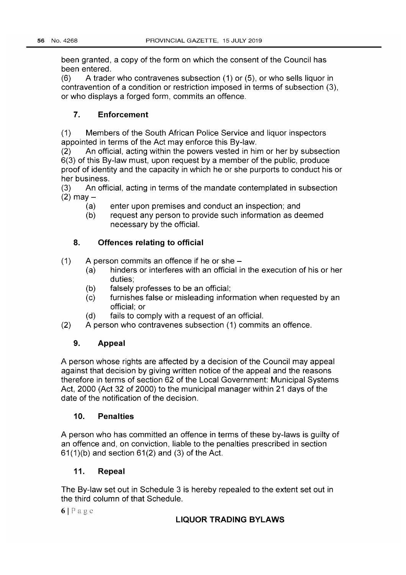been granted, a copy of the form on which the consent of the Council has been entered.

(6) A trader who contravenes subsection (1) or (5), or who sells liquor in contravention of a condition or restriction imposed in terms of subsection (3), or who displays a forged form, commits an offence.

# 7. **Enforcement**

(1) Members of the South African Police Service and liquor inspectors appointed in terms of the Act may enforce this By-law.

(2) An official, acting within the powers vested in him or her by subsection 6(3) of this By-law must, upon request by a member of the public, produce proof of identity and the capacity in which he or she purports to conduct his or her business.

(3) An official, acting in terms of the mandate contemplated in subsection  $(2)$  may  $-$ 

- (a) enter upon premises and conduct an inspection; and
- (b) request any person to provide such information as deemed necessary by the official.

#### **8. Offences relating to official**

 $(1)$  A person commits an offence if he or she –

- (a) hinders or interferes with an official in the execution of his or her duties;
- (b) falsely professes to be an official;
- (c) furnishes false or misleading information when requested by an official; or
- (d) fails to comply with a request of an official.
- (2) A person who contravenes subsection (1) commits an offence.

#### **9. Appeal**

A person whose rights are affected by a decision of the Council may appeal against that decision by giving written notice of the appeal and the reasons therefore in terms of section 62 of the Local Government: Municipal Systems Act, 2000 (Act 32 of 2000) to the municipal manager within 21 days of the date of the notification of the decision.

#### **10. Penalties**

A person who has committed an offence in terms of these by-laws is guilty of an offence and, on conviction, liable to the penalties prescribed in section  $61(1)(b)$  and section  $61(2)$  and  $(3)$  of the Act.

#### **11. Repeal**

The By-law set out in Schedule 3 is hereby repealed to the extent set out in the third column of that Schedule.

 $61P$ age

#### **LIQUOR TRADING BYLAWS**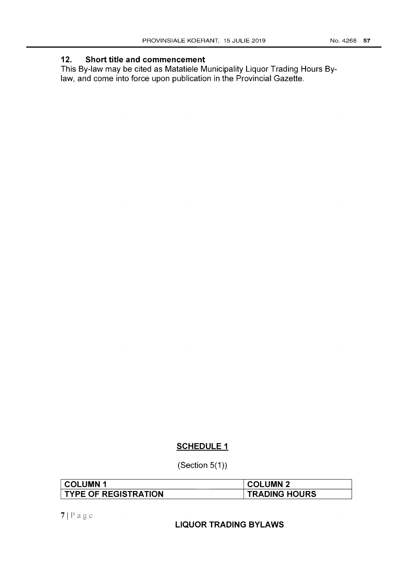# **12. Short title and commencement**

This By-law may be cited as Matatiele Municipality Liquor Trading Hours Bylaw, and come into force upon publication in the Provincial Gazette.

# **SCHEDULE 1**

 $(Section 5(1))$ 

| <b>COLUMN1</b>              | <b>COLUMN 2</b>      |
|-----------------------------|----------------------|
| <b>TYPE OF REGISTRATION</b> | <b>TRADING HOURS</b> |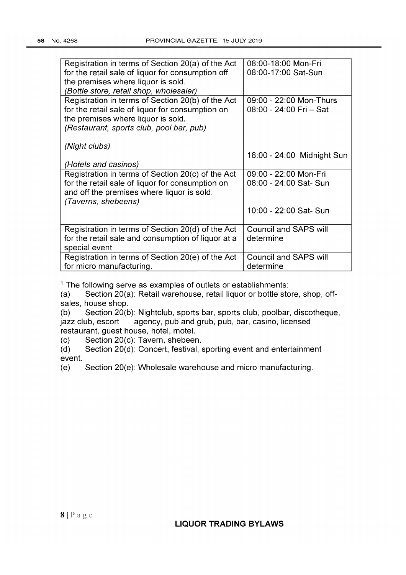| Registration in terms of Section 20(a) of the Act<br>for the retail sale of liquor for consumption off<br>the premises where liquor is sold.<br>(Bottle store, retail shop, wholesaler) | 08:00-18:00 Mon-Fri<br>08:00-17:00 Sat-Sun         |
|-----------------------------------------------------------------------------------------------------------------------------------------------------------------------------------------|----------------------------------------------------|
| Registration in terms of Section 20(b) of the Act<br>for the retail sale of liquor for consumption on<br>the premises where liquor is sold.<br>(Restaurant, sports club, pool bar, pub) | 09:00 - 22:00 Mon-Thurs<br>08:00 - 24:00 Fri - Sat |
| (Night clubs)<br>(Hotels and casinos)                                                                                                                                                   | 18:00 - 24:00 Midnight Sun                         |
| Registration in terms of Section 20(c) of the Act<br>for the retail sale of liquor for consumption on<br>and off the premises where liquor is sold.<br>(Taverns, shebeens)              | 09:00 - 22:00 Mon-Fri<br>08:00 - 24:00 Sat- Sun    |
|                                                                                                                                                                                         | 10:00 - 22:00 Sat- Sun                             |
| Registration in terms of Section 20(d) of the Act<br>for the retail sale and consumption of liquor at a<br>special event                                                                | <b>Council and SAPS will</b><br>determine          |
| Registration in terms of Section 20(e) of the Act<br>for micro manufacturing.                                                                                                           | Council and SAPS will<br>determine                 |

<sup>1</sup> The following serve as examples of outlets or establishments:

(a) Section 20(a): Retail warehouse, retail liquor or bottle store, shop, offsales, house shop.

(b) Section 20(b): Nightclub, sports bar, sports club, poolbar, discotheque, jazz club, escort agency, pub and grub, pub, bar, casino, licensed restaurant, guest house, hotel, motel.

(c) Section 20(c): Tavern, shebeen.

(d) Section 20(d): Concert, festival, sporting event and entertainment event.

(e) Section 20(e): Wholesale warehouse and micro manufacturing.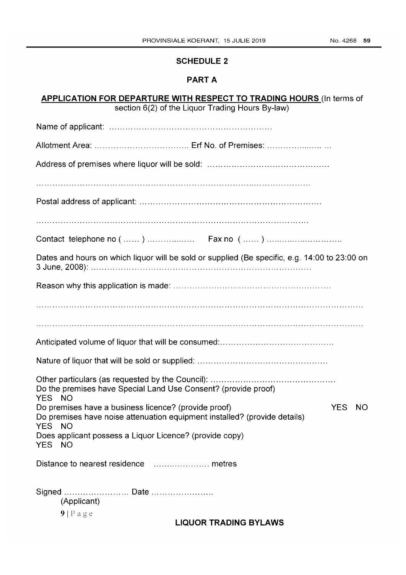# **SCHEDULE 2**

# PART A

| APPLICATION FOR DEPARTURE WITH RESPECT TO TRADING HOURS (In terms of<br>section 6(2) of the Liquor Trading Hours By-law)                                         |  |  |
|------------------------------------------------------------------------------------------------------------------------------------------------------------------|--|--|
|                                                                                                                                                                  |  |  |
|                                                                                                                                                                  |  |  |
|                                                                                                                                                                  |  |  |
|                                                                                                                                                                  |  |  |
|                                                                                                                                                                  |  |  |
|                                                                                                                                                                  |  |  |
|                                                                                                                                                                  |  |  |
|                                                                                                                                                                  |  |  |
| Dates and hours on which liquor will be sold or supplied (Be specific, e.g. 14:00 to 23:00 on                                                                    |  |  |
|                                                                                                                                                                  |  |  |
|                                                                                                                                                                  |  |  |
|                                                                                                                                                                  |  |  |
|                                                                                                                                                                  |  |  |
|                                                                                                                                                                  |  |  |
| Do the premises have Special Land Use Consent? (provide proof)<br>YES NO                                                                                         |  |  |
| Do premises have a business licence? (provide proof)<br><b>YES</b><br>NO.<br>Do premises have noise attenuation equipment installed? (provide details)<br>YES NO |  |  |
| Does applicant possess a Liquor Licence? (provide copy)<br>YES NO                                                                                                |  |  |
|                                                                                                                                                                  |  |  |
| (Applicant)                                                                                                                                                      |  |  |
| $9$   Page<br><b>LIQUOR TRADING BYLAWS</b>                                                                                                                       |  |  |
|                                                                                                                                                                  |  |  |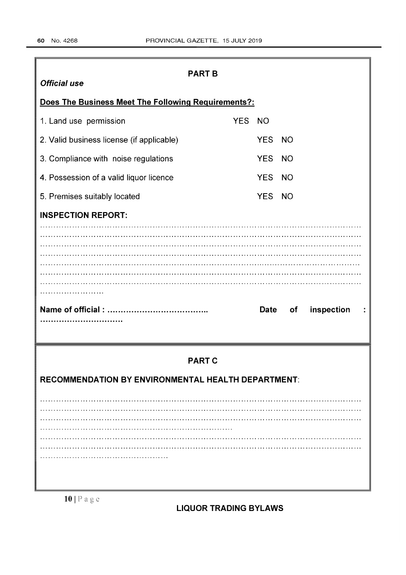| <b>PART B</b><br><b>Official use</b>                      |                          |  |  |  |
|-----------------------------------------------------------|--------------------------|--|--|--|
| Does The Business Meet The Following Requirements?:       |                          |  |  |  |
| 1. Land use permission                                    | YES NO                   |  |  |  |
| 2. Valid business license (if applicable)                 | <b>YES</b><br><b>NO</b>  |  |  |  |
| 3. Compliance with noise regulations                      | <b>YES</b><br><b>NO</b>  |  |  |  |
| 4. Possession of a valid liquor licence                   | <b>YES</b><br><b>NO</b>  |  |  |  |
| 5. Premises suitably located                              | <b>YES</b><br><b>NO</b>  |  |  |  |
| <b>INSPECTION REPORT:</b><br>. <i>.</i> .                 | inspection<br>Date<br>of |  |  |  |
| <b>PART C</b>                                             |                          |  |  |  |
| <b>RECOMMENDATION BY ENVIRONMENTAL HEALTH DEPARTMENT:</b> |                          |  |  |  |
|                                                           |                          |  |  |  |
| $10$   P a g c<br>A RINA RVI                              |                          |  |  |  |

**LIQUOR TRADING BYLAWS**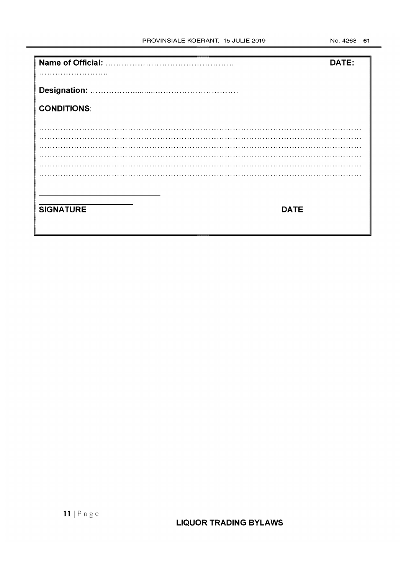|                                 | DATE: |
|---------------------------------|-------|
|                                 |       |
|                                 |       |
| <b>CONDITIONS:</b>              |       |
|                                 |       |
|                                 |       |
|                                 |       |
|                                 |       |
|                                 |       |
|                                 |       |
|                                 |       |
|                                 |       |
|                                 |       |
| <b>SIGNATURE</b><br><b>DATE</b> |       |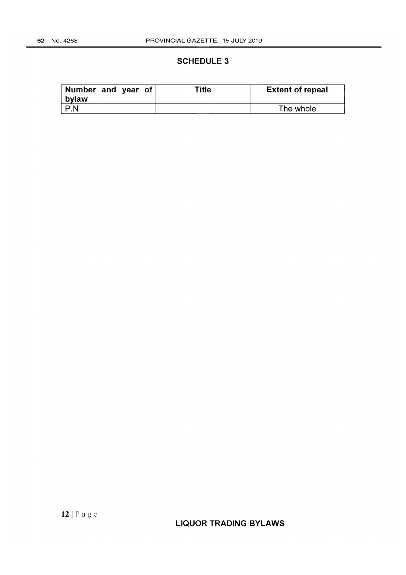## **SCHEDULE 3**

| Number and year of | Title | <b>Extent of repeal</b> |
|--------------------|-------|-------------------------|
| ∣ bylaw            |       |                         |
| P.N                |       | The whole               |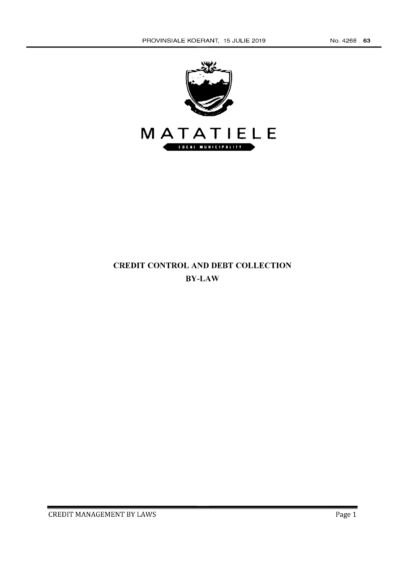

# **CREDIT CONTROL AND DEBT COLLECTION BY-LAW**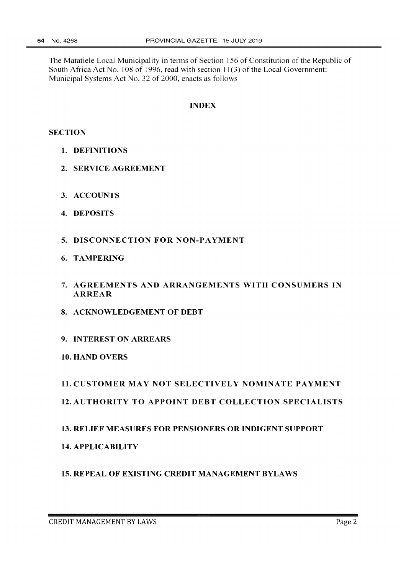The Matatiele Local Municipality in terms of Section 156 of Constitution of the Republic of South Africa Act No. 108 of 1996, read with section 11(3) of the Local Government: Municipal Systems Act No. 32 of 2000, enacts as follows

#### INDEX

#### **SECTION**

- 1. DEFINITIONS
- 2. SERVICE AGREEMENT
- 3. ACCOUNTS
- 4. DEPOSITS
- 5. DISCONNECTION FOR NON-PAYMENT
- 6. TAMPERING
- 7. AGREEMENTS AND ARRANGEMENTS WITH CONSUMERS IN ARREAR
- 8. ACKNOWLEDGEMENT OF DEBT
- 9. INTEREST ON ARREARS
- 10. HAND OVERS

#### 11. CUSTOMER MAY NOT SELECTIVELY NOMINATE PAYMENT

# 12. AUTHORITY TO APPOINT DEBT COLLECTION SPECIALISTS

#### 13. RELIEF MEASURES FOR PENSIONERS OR INDIGENT SUPPORT

#### 14. APPLICABILITY

15. REPEAL OF EXISTING CREDIT MANAGEMENT BYLAWS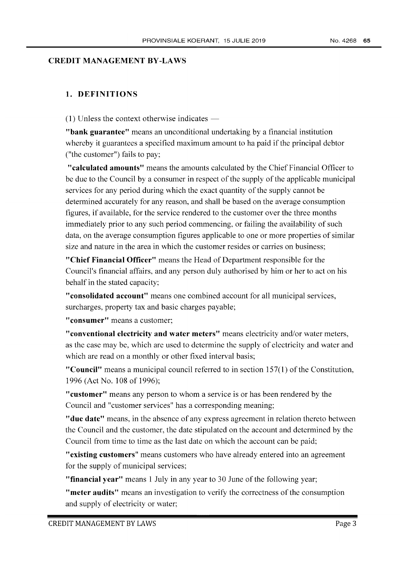## **CREDIT MANAGEMENT BY -LAWS**

## **1. DEFINITIONS**

 $(1)$  Unless the context otherwise indicates  $-$ 

**"bank guarantee"** means an unconditional undertaking by a financial institution whereby it guarantees a specified maximum amount to ha paid if the principal debtor ("the customer") fails to pay;

**"calculated amounts"** means the amounts calculated by the Chief Financial Officer to be due to the Council by a consumer in respect of the supply of the applicable municipal services for any period during which the exact quantity of the supply cannot be determined accurately for any reason, and shall be based on the average consumption figures, if available, for the service rendered to the customer over the three months immediately prior to any such period commencing, or failing the availability of such data, on the average consumption figures applicable to one or more properties of similar size and nature in the area in which the customer resides or carries on business;

**"Chief Financial Officer"** means the Head of Department responsible for the Council's financial affairs, and any person duly authorised by him or her to act on his behalf in the stated capacity;

**"consolidated account"** means one combined account for all municipal services, surcharges, property tax and basic charges payable;

**"consumer"** means a customer;

**"conventional electricity and water meters"** means electricity and/or water meters, as the case may be, which are used to determine the supply of electricity and water and which are read on a monthly or other fixed interval basis;

**"Council"** means a municipal council referred to in section 157(1) of the Constitution, 1996 (Act No.1 08 of 1996);

**"customer"** means any person to whom a service is or has been rendered by the Council and "customer services" has a corresponding meaning;

**"due date"** means, in the absence of any express agreement in relation thereto between the Council and the customer, the date stipulated on the account and determined by the Council from time to time as the last date on which the account can be paid;

**"existing customers"** means customers who have already entered into an agreement for the supply of municipal services;

**"financial year"** means 1 July in any year to 30 June of the following year;

**"meter audits"** means an investigation to verify the correctness of the consumption and supply of electricity or water;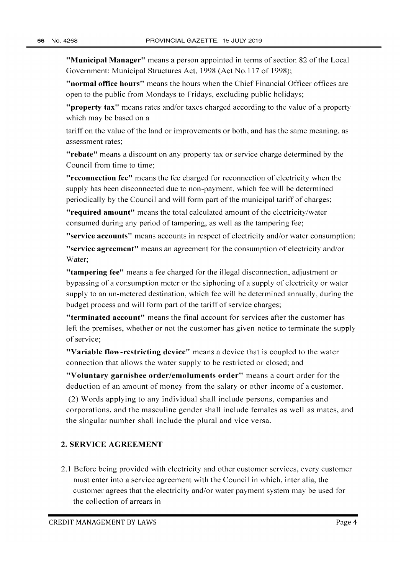"Municipal Manager" means a person appointed in terms of section 82 of the Local Government: Municipal Structures Act, 1998 (Act No.117 of 1998);

"normal office hours" means the hours when the Chief Financial Officer offices are open to the public from Mondays to Fridays, excluding public holidays;

"property tax" means rates and/or taxes charged according to the value of a property which may be based on a

tariff on the value of the land or improvements or both, and has the same meaning, as assessment rates;

"rebate" means a discount on any property tax or service charge determined by the Council from time to time;

"reconnection fee" means the fee charged for reconnection of electricity when the supply has been disconnected due to non-payment, which fee will be determined periodically by the Council and will form part of the municipal tariff of charges;

"required amount" means the total calculated amount of the electricity/water consumed during any period of tampering, as well as the tampering fee;

"service accounts" means accounts in respect of electricity and/or water consumption;

"service agreement" means an agreement for the consumption of electricity and/or Water<sup>.</sup>

"tampering fee" means a fee charged for the illegal disconnection, adjustment or bypassing of a consumption meter or the siphoning of a supply of electricity or water supply to an un-metered destination, which fee will be determined annually, during the budget process and will form part of the tariff of service charges;

"terminated account" means the final account for services after the customer has left the premises, whether or not the customer has given notice to terminate the supply of service;

"Variable flow-restricting device" means a device that is coupled to the water connection that allows the water supply to be restricted or closed; and

"Voluntary garnishee order/emoluments order" means a court order for the deduction of an amount of money from the salary or other income of a customer.

(2) Words applying to any individual shall include persons, companies and corporations, and the masculine gender shall include females as well as mates, and the singular number shall include the plural and vice versa.

# 2. SERVICE AGREEMENT

2.1 Before being provided with electricity and other customer services, every customer must enter into a service agreement with the Council in which, inter alia, the customer agrees that the electricity and/or water payment system may be used for the collection of arrears in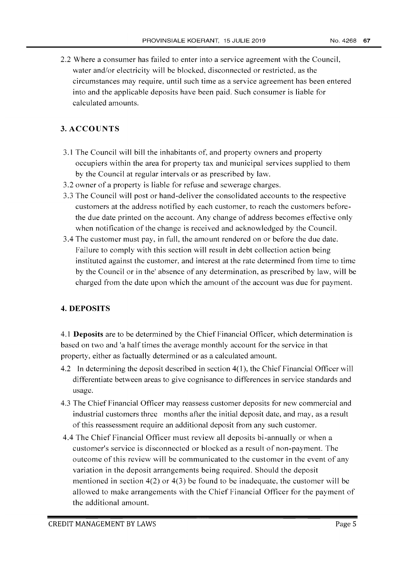2.2 Where a consumer has failed to enter into a service agreement with the Council, water and/or electricity will be blocked, disconnected or restricted, as the circumstances may require, until such time as a service agreement has been entered into and the applicable deposits have been paid. Such consumer is liable for calculated amounts.

# 3. ACCOUNTS

- 3.1 The Council will bill the inhabitants of, and property owners and property occupiers within the area for property tax and municipal services supplied to them by the Council at regular intervals or as prescribed by law.
- 3.2 owner of a property is liable for refuse and sewerage charges.
- 3.3 The Council will post or hand-deliver the consolidated accounts to the respective customers at the address notified by each customer, to reach the customers beforethe due date printed on the account. Any change of address becomes effective only when notification of the change is received and acknowledged by the Council.
- 3.4 The customer must pay, in full, the amount rendered on or before the due date. Failure to comply with this section will result in debt collection action being instituted against the customer, and interest at the rate determined from time to time by the Councilor in the' absence of any determination, as prescribed by law, will be charged from the date upon which the amount of the account was due for payment.

# 4. DEPOSITS

4.1 Deposits are to be determined by the Chief Financial Officer, which determination is based on two and 'a halftimes the average monthly account for the service in that property, either as factually determined or as a calculated amount.

- 4.2 In determining the deposit described in section 4(1), the Chief Financial Officer will differentiate between areas to give cognisance to differences in service standards and usage.
- 4.3 The Chief Financial Officer may reassess customer deposits for new commercial and industrial customers three months after the initial deposit date, and may, as a result of this reassessment require an additional deposit from any such customer.
- 4.4 The Chief Financial Officer must review all deposits bi-annually or when a customer's service is disconnected or blocked as a result of non-payment. The outcome of this review will be communicated to the customer in the event of any variation in the deposit arrangements being required. Should the deposit mentioned in section 4(2) or 4(3) be found to be inadequate, the customer will be allowed to make arrangements with the Chief Financial Officer for the payment of the additional amount.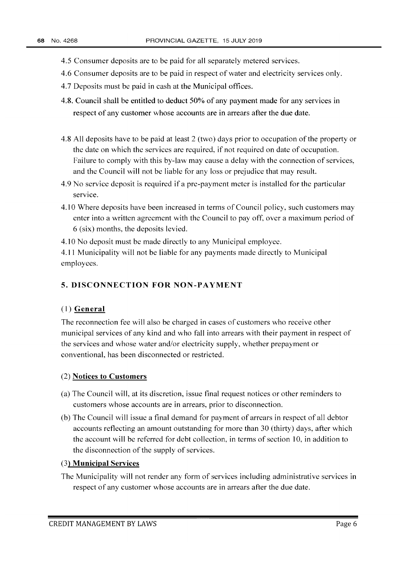- 4.5 Consumer deposits are to be paid for all separately metered services.
- 4.6 Consumer deposits are to be paid in respect of water and electricity services only.
- 4.7 Deposits must be paid in cash at the Municipal offices.
- 4.8. Council shall be entitled to deduct 50% of any payment made for any services in respect of any customer whose accounts are in arrears after the due date.
- 4.8 All deposits have to be paid at least 2 (two) days prior to occupation of the property or the date on which the services are required, if not required on date of occupation. Failure to comply with this by-law may cause a delay with the connection of services, and the Council will not be liable for any loss or prejudice that may result.
- 4.9 No service deposit is required if a pre-payment meter is installed for the particular service.
- 4.10 Where deposits have been increased in terms of Council policy, such customers may enter into a written agreement with the Council to payoff, over a maximum period of 6 (six) months, the deposits levied.
- 4.10 No deposit must be made directly to any Municipal employee.

4.11 Municipality will not be liable for any payments made directly to Municipal employees.

## **5. DISCONNECTION FOR NON -PAYMENT**

#### (1) **General**

The reconnection fee will also be charged in cases of customers who receive other municipal services of any kind and who fall into arrears with their payment in respect of the services and whose water and/or electricity supply, whether prepayment or conventional, has been disconnected or restricted.

#### (2) **Notices to Customers**

- (a) The Council will, at its discretion, issue final request notices or other reminders to customers whose accounts are in arrears, prior to disconnection.
- (b) The Council will issue a final demand for payment of arrears in respect of all debtor accounts reflecting an amount outstanding for more than 30 (thirty) days, after which the account will be referred for debt collection, in terms of section 10, in addition to the disconnection of the supply of services.

#### (3) **Municipal Services**

The Municipality will not render any form of services including administrative services in respect of any customer whose accounts are in arrears after the due date.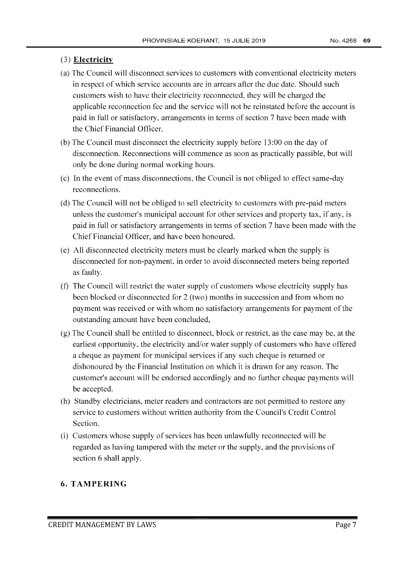# (3) **Electricity**

- (a) The Council will disconnect services to customers with conventional electricity meters in respect of which service accounts are in arrears after the due date. Should such customers wish to have their electricity reconnected, they will be charged the applicable reconnection fee and the service will not be reinstated before the account is paid in full or satisfactory, arrangements in terms of section 7 have been made with the Chief Financial Officer.
- (b) The Council must disconnect the electricity supply before 13:00 on the day of disconnection. Reconnections will commence as soon as practically passible, but will only be done during normal working hours.
- ( c) In the event of mass disconnections, the Council is not obliged to effect same-day reconnections.
- (d) The Council will not be obliged to sell electricity to customers with pre-paid meters unless the customer's municipal account for other services and property tax, if any, is paid in full or satisfactory arrangements in terms of section 7 have been made with the Chief Financial Officer, and have been honoured.
- ( e) All disconnected electricity meters must be clearly marked when the supply is disconnected for non-payment, in order to avoid disconnected meters being reported as faulty.
- (f) The Council will restrict the water supply of customers whose electricity supply has been blocked or disconnected for 2 (two) months in succession and from whom no payment was received or with whom no satisfactory arrangements for payment of the outstanding amount have been concluded,
- (g) The Council shall be entitled to disconnect, block or restrict, as the case may be, at the earliest opportunity, the electricity and/or water supply of customers who have offered a cheque as payment for municipal services if any such cheque is returned or dishonoured by the Financial Institution on which it is drawn for any reason. The customer's account will be endorsed accordingly and no further cheque payments will be accepted.
- (h) Standby electricians, meter readers and contractors are not permitted to restore any service to customers without written authority from the Council's Credit Control Section.
- (i) Customers whose supply of services has been unlawfully reconnected will be regarded as having tampered with the meter or the supply, and the provisions of section 6 shall apply.

# **6. TAMPERING**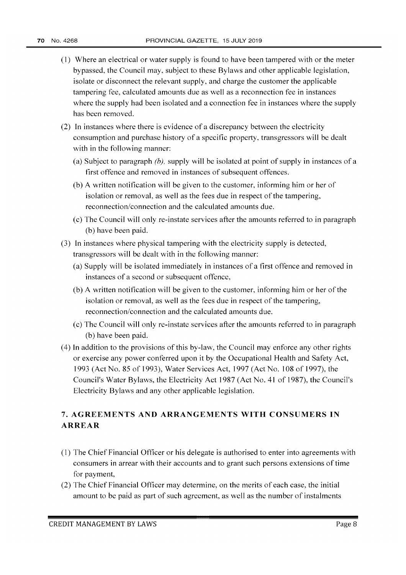- (1) Where an electrical or water supply is found to have been tampered with or the meter bypassed, the Council may, subject to these Bylaws and other applicable legislation, isolate or disconnect the relevant supply, and charge the customer the applicable tampering fee, calculated amounts due as well as a reconnection fee in instances where the supply had been isolated and a connection fee in instances where the supply has been removed.
- (2) **In** instances where there is evidence of a discrepancy between the electricity consumption and purchase history of a specific property, transgressors will be dealt with in the following manner:
	- (a) Subject to paragraph *(b),* supply will be isolated at point of supply in instances of a first offence and removed in instances of subsequent offences.
	- (b) A written notification will be given to the customer, informing him or her of isolation or removal, as well as the fees due in respect of the tampering, reconnection/connection and the calculated amounts due.
	- (c) The Council will only re-instate services after the amounts referred to in paragraph (b) have been paid.
- (3) **In** instances where physical tampering with the electricity supply is detected, transgressors will be dealt with in the following manner:
	- (a) Supply will be isolated immediately in instances of a first offence and removed in instances of a second or subsequent offence,
	- (b) A written notification will be given to the customer, informing him or her of the isolation or removal, as well as the fees due in respect of the tampering, reconnection/connection and the calculated amounts due.
	- (c) The Council will only re-instate services after the amounts referred to in paragraph (b) have been paid.
- (4) **In** addition to the provisions of this by-law, the Council may enforce any other rights or exercise any power conferred upon it by the Occupational Health and Safety Act, 1993 (Act No. 85 of 1993), Water Services Act, 1997 (Act No.1 08 of 1997), the Council's Water Bylaws, the Electricity Act 1987 (Act No. 41 of 1987), the Council's Electricity Bylaws and any other applicable legislation.

# **7. AGREEMENTS AND ARRANGEMENTS WITH CONSUMERS IN ARREAR**

- (1) The Chief Financial Officer or his delegate is authorised to enter into agreements with consumers in arrear with their accounts and to grant such persons extensions of time for payment,
- (2) The Chief Financial Officer may determine, on the merits of each case, the initial amount to be paid as part of such agreement, as well as the number of instalments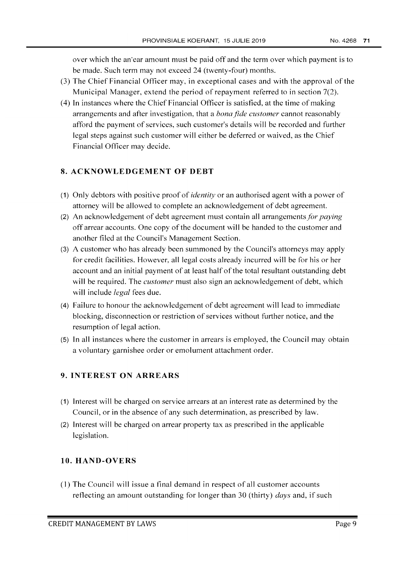over which the an-ear amount must be paid off and the term over which payment is to be made. Such term may not exceed 24 (twenty-four) months.

- (3) The Chief Financial Officer may, in exceptional cases and with the approval of the Municipal Manager, extend the period of repayment referred to in section 7(2).
- (4) In instances where the Chief Financial Officer is satisfied, at the time of making arrangements and after investigation, that a *bonafide customer* cannot reasonably afford the payment of services, such customer's details will be recorded and further legal steps against such customer will either be deferred or waived, as the Chief Financial Officer may decide.

#### **8. ACKNOWLEDGEMENT OF DEBT**

- (1) Only debtors with positive proof of *identity* or an authorised agent with a power of attorney will be allowed to complete an acknowledgement of debt agreement.
- (2) An acknowledgement of debt agreement must contain all arrangements *for paying*  off arrear accounts. One copy of the document will be handed to the customer and another filed at the Council's Management Section.
- (3) A customer who has already been summoned by the Council's attorneys may apply for credit facilities. However, all legal costs already incurred will be for his or her account and an initial payment of at least half of the total resultant outstanding debt will be required. The *customer* must also sign an acknowledgement of debt, which will include *legal* fees due.
- (4) Failure to honour the acknowledgement of debt agreement will lead to immediate blocking, disconnection or restriction of services without further notice, and the resumption of legal action.
- (5) In all instances where the customer in arrears is employed, the Council may obtain a voluntary garnishee order or emolument attachment order.

## **9. INTEREST ON ARREARS**

- (1) Interest will be charged on service arrears at an interest rate as determined by the Council, or in the absence of any such determination, as prescribed by law.
- (2) Interest will be charged on arrear property tax as prescribed in the applicable legislation.

#### **10. HAND-OVERS**

(I) The Council will issue a final demand in respect of all customer accounts reflecting an amount outstanding for longer than 30 (thirty) *days* and, if such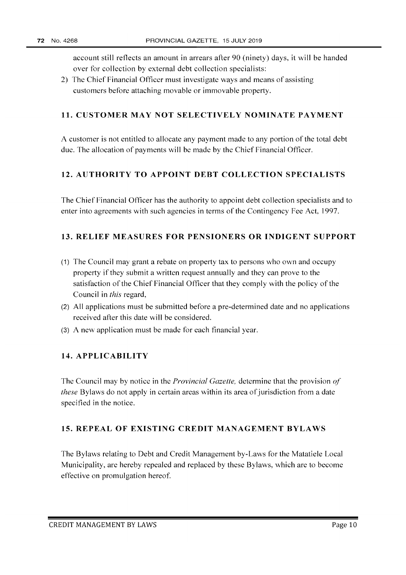account still reflects an amount in arrears after 90 (ninety) days, it will be handed over for collection by external debt collection specialists:

2) The Chief Financial Officer must investigate ways and means of assisting customers before attaching movable or immovable property.

## **11. CUSTOMER MAY NOT SELECTIVELY NOMINATE PAYMENT**

A customer is not entitled to allocate any payment made to any portion of the total debt due. The allocation of payments will be made by the Chief Financial Officer.

## **12. AUTHORITY TO APPOINT DEBT COLLECTION SPECIALISTS**

The Chief Financial Officer has the authority to appoint debt collection specialists and to enter into agreements with such agencies in terms of the Contingency Fee Act, 1997.

## **13. RELIEF MEASURES FOR PENSIONERS OR INDIGENT SUPPORT**

- (1) The Council may grant a rebate on property tax to persons who own and occupy property if they submit a written request annually and they can prove to the satisfaction of the Chief Financial Officer that they comply with the policy of the Council in *this* regard,
- (2) All applications must be submitted before a pre-determined date and no applications received after this date will be considered.
- (3) A new application must be made for each financial year.

#### **14. APPLICABILITY**

The Council may by notice in the *Provincial Gazette,* determine that the provision *of these* Bylaws do not apply in certain areas within its area of jurisdiction from a date specified in the notice.

#### **15. REPEAL OF EXISTING CREDIT MANAGEMENT BYLAWS**

The Bylaws relating to Debt and Credit Management by-Laws for the Matatiele Local Municipality, are hereby repealed and replaced by these Bylaws, which are to become effective on promulgation hereof.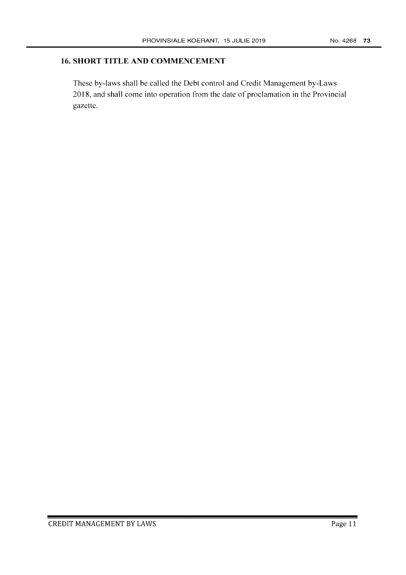## **16. SHORT TITLE AND COMMENCEMENT**

These by-laws shall be called the Debt control and Credit Management by-Laws 2018, and shall come into operation from the date of proclamation in the Provincial gazette.